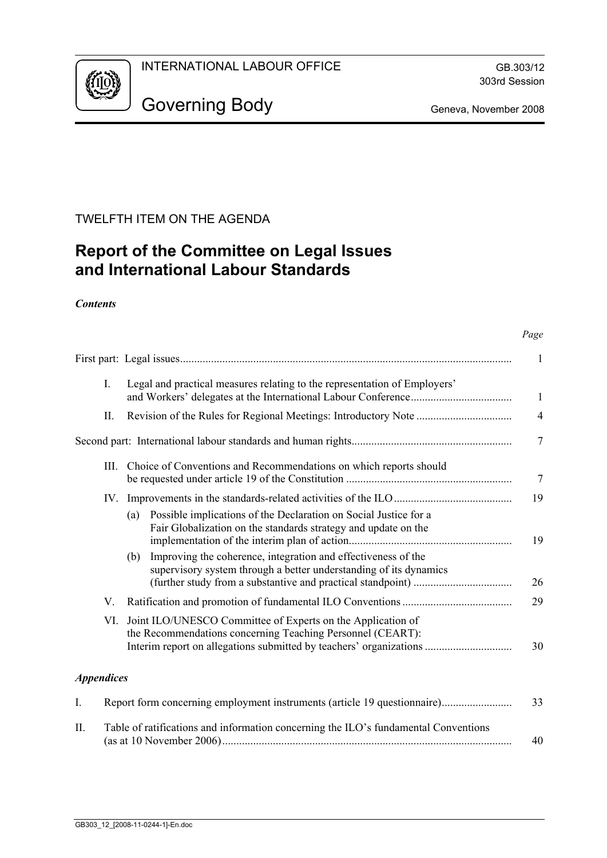

# TWELFTH ITEM ON THE AGENDA

# **Report of the Committee on Legal Issues and International Labour Standards**

### *Contents*

| $I_{\cdot}$       |      | Legal and practical measures relating to the representation of Employers'                                                                 |                |  |  |  |
|-------------------|------|-------------------------------------------------------------------------------------------------------------------------------------------|----------------|--|--|--|
| П.                |      |                                                                                                                                           | $\overline{4}$ |  |  |  |
|                   |      |                                                                                                                                           | $\tau$         |  |  |  |
|                   | III. | Choice of Conventions and Recommendations on which reports should                                                                         | 7              |  |  |  |
|                   | IV.  |                                                                                                                                           | 19             |  |  |  |
|                   |      | Possible implications of the Declaration on Social Justice for a<br>(a)<br>Fair Globalization on the standards strategy and update on the | 19             |  |  |  |
|                   |      | Improving the coherence, integration and effectiveness of the<br>(b)<br>supervisory system through a better understanding of its dynamics | 26             |  |  |  |
| V.                |      |                                                                                                                                           | 29             |  |  |  |
|                   | VI.  | Joint ILO/UNESCO Committee of Experts on the Application of<br>the Recommendations concerning Teaching Personnel (CEART):                 | 30             |  |  |  |
| <b>Appendices</b> |      |                                                                                                                                           |                |  |  |  |
| Ι.                |      | Report form concerning employment instruments (article 19 questionnaire)                                                                  | 33             |  |  |  |

| Table of ratifications and information concerning the ILO's fundamental Conventions |    |
|-------------------------------------------------------------------------------------|----|
|                                                                                     | 40 |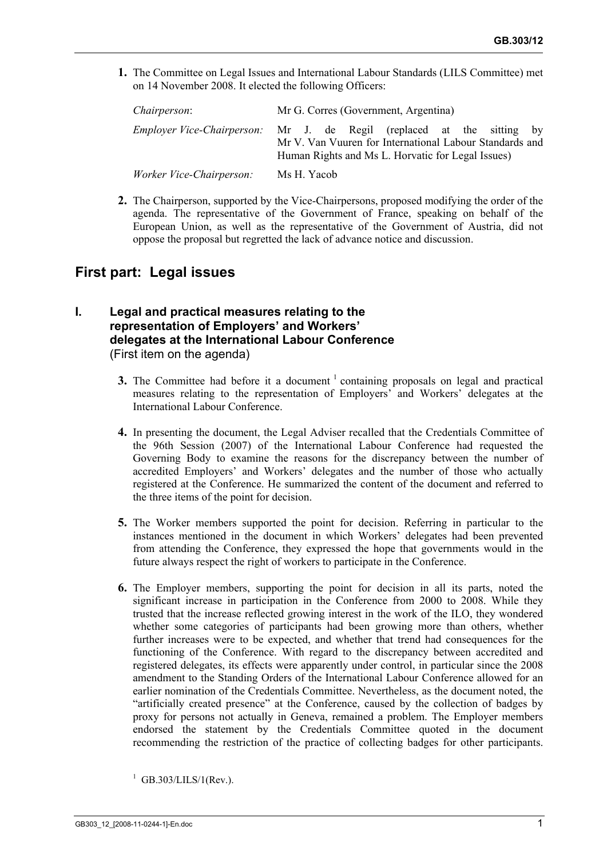**1.** The Committee on Legal Issues and International Labour Standards (LILS Committee) met on 14 November 2008. It elected the following Officers:

| <i>Chairperson:</i>      | Mr G. Corres (Government, Argentina)                                                                                                                                                         |  |  |  |  |  |  |  |
|--------------------------|----------------------------------------------------------------------------------------------------------------------------------------------------------------------------------------------|--|--|--|--|--|--|--|
|                          | <i>Employer Vice-Chairperson:</i> Mr J. de Regil (replaced at the sitting by<br>Mr V. Van Vuuren for International Labour Standards and<br>Human Rights and Ms L. Horvatic for Legal Issues) |  |  |  |  |  |  |  |
| Worker Vice-Chairperson: | Ms H. Yacob                                                                                                                                                                                  |  |  |  |  |  |  |  |

**2.** The Chairperson, supported by the Vice-Chairpersons, proposed modifying the order of the agenda. The representative of the Government of France, speaking on behalf of the European Union, as well as the representative of the Government of Austria, did not oppose the proposal but regretted the lack of advance notice and discussion.

## **First part: Legal issues**

#### **I. Legal and practical measures relating to the representation of Employers' and Workers' delegates at the International Labour Conference**  (First item on the agenda)

- **3.** The Committee had before it a document  $\frac{1}{1}$  containing proposals on legal and practical measures relating to the representation of Employers' and Workers' delegates at the International Labour Conference.
- **4.** In presenting the document, the Legal Adviser recalled that the Credentials Committee of the 96th Session (2007) of the International Labour Conference had requested the Governing Body to examine the reasons for the discrepancy between the number of accredited Employers' and Workers' delegates and the number of those who actually registered at the Conference. He summarized the content of the document and referred to the three items of the point for decision.
- **5.** The Worker members supported the point for decision. Referring in particular to the instances mentioned in the document in which Workers' delegates had been prevented from attending the Conference, they expressed the hope that governments would in the future always respect the right of workers to participate in the Conference.
- **6.** The Employer members, supporting the point for decision in all its parts, noted the significant increase in participation in the Conference from 2000 to 2008. While they trusted that the increase reflected growing interest in the work of the ILO, they wondered whether some categories of participants had been growing more than others, whether further increases were to be expected, and whether that trend had consequences for the functioning of the Conference. With regard to the discrepancy between accredited and registered delegates, its effects were apparently under control, in particular since the 2008 amendment to the Standing Orders of the International Labour Conference allowed for an earlier nomination of the Credentials Committee. Nevertheless, as the document noted, the "artificially created presence" at the Conference, caused by the collection of badges by proxy for persons not actually in Geneva, remained a problem. The Employer members endorsed the statement by the Credentials Committee quoted in the document recommending the restriction of the practice of collecting badges for other participants.

GB.303/LILS/1(Rev.).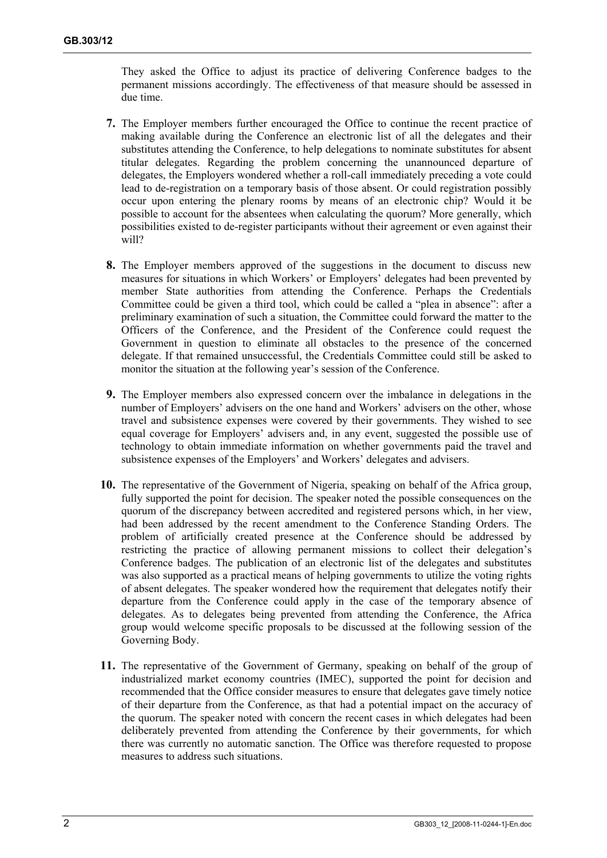They asked the Office to adjust its practice of delivering Conference badges to the permanent missions accordingly. The effectiveness of that measure should be assessed in due time.

- **7.** The Employer members further encouraged the Office to continue the recent practice of making available during the Conference an electronic list of all the delegates and their substitutes attending the Conference, to help delegations to nominate substitutes for absent titular delegates. Regarding the problem concerning the unannounced departure of delegates, the Employers wondered whether a roll-call immediately preceding a vote could lead to de-registration on a temporary basis of those absent. Or could registration possibly occur upon entering the plenary rooms by means of an electronic chip? Would it be possible to account for the absentees when calculating the quorum? More generally, which possibilities existed to de-register participants without their agreement or even against their will?
- **8.** The Employer members approved of the suggestions in the document to discuss new measures for situations in which Workers' or Employers' delegates had been prevented by member State authorities from attending the Conference. Perhaps the Credentials Committee could be given a third tool, which could be called a "plea in absence": after a preliminary examination of such a situation, the Committee could forward the matter to the Officers of the Conference, and the President of the Conference could request the Government in question to eliminate all obstacles to the presence of the concerned delegate. If that remained unsuccessful, the Credentials Committee could still be asked to monitor the situation at the following year's session of the Conference.
- **9.** The Employer members also expressed concern over the imbalance in delegations in the number of Employers' advisers on the one hand and Workers' advisers on the other, whose travel and subsistence expenses were covered by their governments. They wished to see equal coverage for Employers' advisers and, in any event, suggested the possible use of technology to obtain immediate information on whether governments paid the travel and subsistence expenses of the Employers' and Workers' delegates and advisers.
- **10.** The representative of the Government of Nigeria, speaking on behalf of the Africa group, fully supported the point for decision. The speaker noted the possible consequences on the quorum of the discrepancy between accredited and registered persons which, in her view, had been addressed by the recent amendment to the Conference Standing Orders. The problem of artificially created presence at the Conference should be addressed by restricting the practice of allowing permanent missions to collect their delegation's Conference badges. The publication of an electronic list of the delegates and substitutes was also supported as a practical means of helping governments to utilize the voting rights of absent delegates. The speaker wondered how the requirement that delegates notify their departure from the Conference could apply in the case of the temporary absence of delegates. As to delegates being prevented from attending the Conference, the Africa group would welcome specific proposals to be discussed at the following session of the Governing Body.
- **11.** The representative of the Government of Germany, speaking on behalf of the group of industrialized market economy countries (IMEC), supported the point for decision and recommended that the Office consider measures to ensure that delegates gave timely notice of their departure from the Conference, as that had a potential impact on the accuracy of the quorum. The speaker noted with concern the recent cases in which delegates had been deliberately prevented from attending the Conference by their governments, for which there was currently no automatic sanction. The Office was therefore requested to propose measures to address such situations.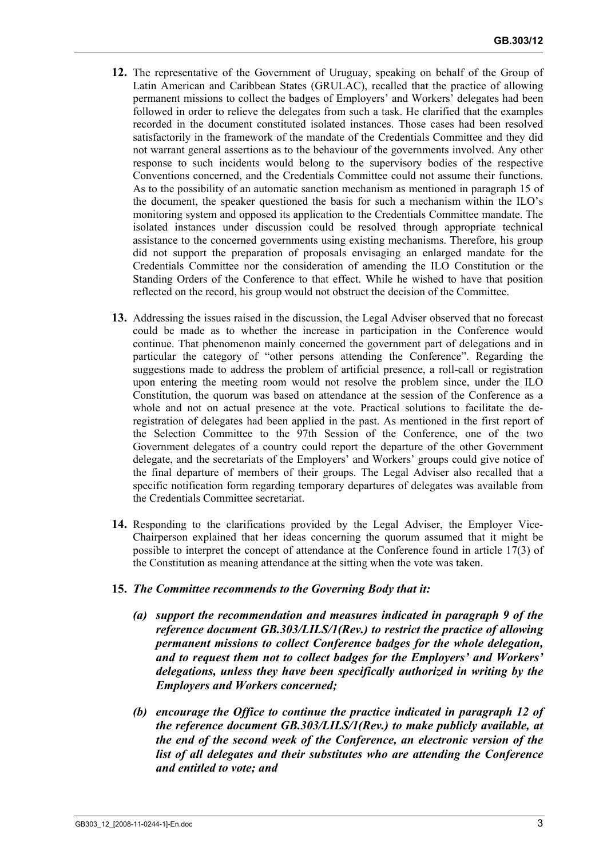- **12.** The representative of the Government of Uruguay, speaking on behalf of the Group of Latin American and Caribbean States (GRULAC), recalled that the practice of allowing permanent missions to collect the badges of Employers' and Workers' delegates had been followed in order to relieve the delegates from such a task. He clarified that the examples recorded in the document constituted isolated instances. Those cases had been resolved satisfactorily in the framework of the mandate of the Credentials Committee and they did not warrant general assertions as to the behaviour of the governments involved. Any other response to such incidents would belong to the supervisory bodies of the respective Conventions concerned, and the Credentials Committee could not assume their functions. As to the possibility of an automatic sanction mechanism as mentioned in paragraph 15 of the document, the speaker questioned the basis for such a mechanism within the ILO's monitoring system and opposed its application to the Credentials Committee mandate. The isolated instances under discussion could be resolved through appropriate technical assistance to the concerned governments using existing mechanisms. Therefore, his group did not support the preparation of proposals envisaging an enlarged mandate for the Credentials Committee nor the consideration of amending the ILO Constitution or the Standing Orders of the Conference to that effect. While he wished to have that position reflected on the record, his group would not obstruct the decision of the Committee.
- **13.** Addressing the issues raised in the discussion, the Legal Adviser observed that no forecast could be made as to whether the increase in participation in the Conference would continue. That phenomenon mainly concerned the government part of delegations and in particular the category of "other persons attending the Conference". Regarding the suggestions made to address the problem of artificial presence, a roll-call or registration upon entering the meeting room would not resolve the problem since, under the ILO Constitution, the quorum was based on attendance at the session of the Conference as a whole and not on actual presence at the vote. Practical solutions to facilitate the deregistration of delegates had been applied in the past. As mentioned in the first report of the Selection Committee to the 97th Session of the Conference, one of the two Government delegates of a country could report the departure of the other Government delegate, and the secretariats of the Employers' and Workers' groups could give notice of the final departure of members of their groups. The Legal Adviser also recalled that a specific notification form regarding temporary departures of delegates was available from the Credentials Committee secretariat.
- **14.** Responding to the clarifications provided by the Legal Adviser, the Employer Vice-Chairperson explained that her ideas concerning the quorum assumed that it might be possible to interpret the concept of attendance at the Conference found in article 17(3) of the Constitution as meaning attendance at the sitting when the vote was taken.
- **15.** *The Committee recommends to the Governing Body that it:* 
	- *(a) support the recommendation and measures indicated in paragraph 9 of the reference document GB.303/LILS/1(Rev.) to restrict the practice of allowing permanent missions to collect Conference badges for the whole delegation, and to request them not to collect badges for the Employers' and Workers' delegations, unless they have been specifically authorized in writing by the Employers and Workers concerned;*
	- *(b) encourage the Office to continue the practice indicated in paragraph 12 of the reference document GB.303/LILS/1(Rev.) to make publicly available, at the end of the second week of the Conference, an electronic version of the list of all delegates and their substitutes who are attending the Conference and entitled to vote; and*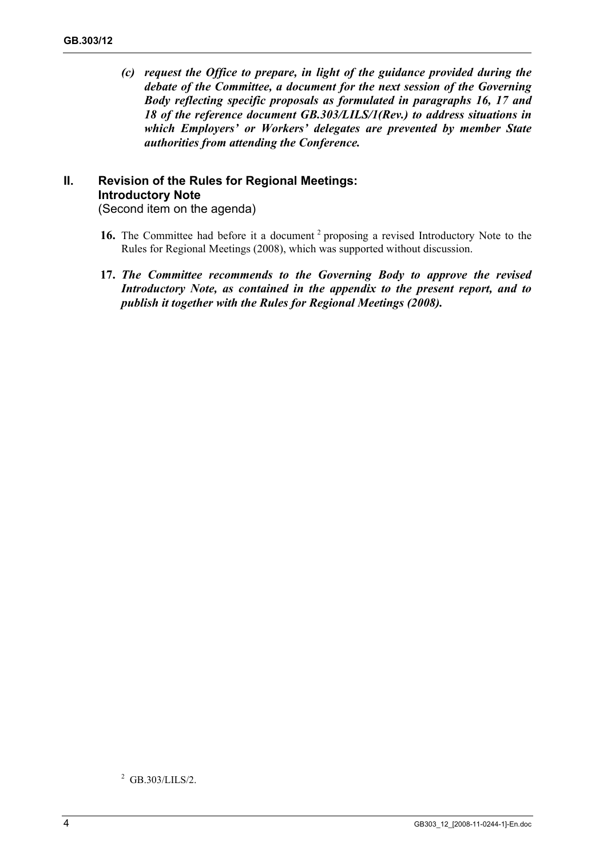*(c) request the Office to prepare, in light of the guidance provided during the debate of the Committee, a document for the next session of the Governing Body reflecting specific proposals as formulated in paragraphs 16, 17 and 18 of the reference document GB.303/LILS/1(Rev.) to address situations in which Employers' or Workers' delegates are prevented by member State authorities from attending the Conference.* 

# **II. Revision of the Rules for Regional Meetings: Introductory Note**

(Second item on the agenda)

- 16. The Committee had before it a document <sup>2</sup> proposing a revised Introductory Note to the Rules for Regional Meetings (2008), which was supported without discussion.
- **17.** *The Committee recommends to the Governing Body to approve the revised Introductory Note, as contained in the appendix to the present report, and to publish it together with the Rules for Regional Meetings (2008).*

<sup>2</sup> GB.303/LILS/2.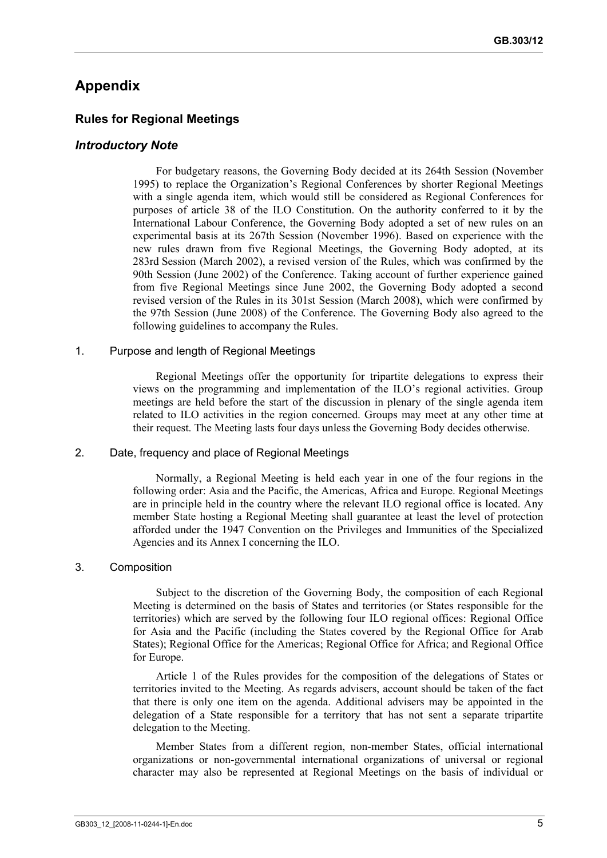## **Appendix**

#### **Rules for Regional Meetings**

#### *Introductory Note*

For budgetary reasons, the Governing Body decided at its 264th Session (November 1995) to replace the Organization's Regional Conferences by shorter Regional Meetings with a single agenda item, which would still be considered as Regional Conferences for purposes of article 38 of the ILO Constitution. On the authority conferred to it by the International Labour Conference, the Governing Body adopted a set of new rules on an experimental basis at its 267th Session (November 1996). Based on experience with the new rules drawn from five Regional Meetings, the Governing Body adopted, at its 283rd Session (March 2002), a revised version of the Rules, which was confirmed by the 90th Session (June 2002) of the Conference. Taking account of further experience gained from five Regional Meetings since June 2002, the Governing Body adopted a second revised version of the Rules in its 301st Session (March 2008), which were confirmed by the 97th Session (June 2008) of the Conference. The Governing Body also agreed to the following guidelines to accompany the Rules.

#### 1. Purpose and length of Regional Meetings

Regional Meetings offer the opportunity for tripartite delegations to express their views on the programming and implementation of the ILO's regional activities. Group meetings are held before the start of the discussion in plenary of the single agenda item related to ILO activities in the region concerned. Groups may meet at any other time at their request. The Meeting lasts four days unless the Governing Body decides otherwise.

#### 2. Date, frequency and place of Regional Meetings

Normally, a Regional Meeting is held each year in one of the four regions in the following order: Asia and the Pacific, the Americas, Africa and Europe. Regional Meetings are in principle held in the country where the relevant ILO regional office is located. Any member State hosting a Regional Meeting shall guarantee at least the level of protection afforded under the 1947 Convention on the Privileges and Immunities of the Specialized Agencies and its Annex I concerning the ILO.

#### 3. Composition

Subject to the discretion of the Governing Body, the composition of each Regional Meeting is determined on the basis of States and territories (or States responsible for the territories) which are served by the following four ILO regional offices: Regional Office for Asia and the Pacific (including the States covered by the Regional Office for Arab States); Regional Office for the Americas; Regional Office for Africa; and Regional Office for Europe.

Article 1 of the Rules provides for the composition of the delegations of States or territories invited to the Meeting. As regards advisers, account should be taken of the fact that there is only one item on the agenda. Additional advisers may be appointed in the delegation of a State responsible for a territory that has not sent a separate tripartite delegation to the Meeting.

Member States from a different region, non-member States, official international organizations or non-governmental international organizations of universal or regional character may also be represented at Regional Meetings on the basis of individual or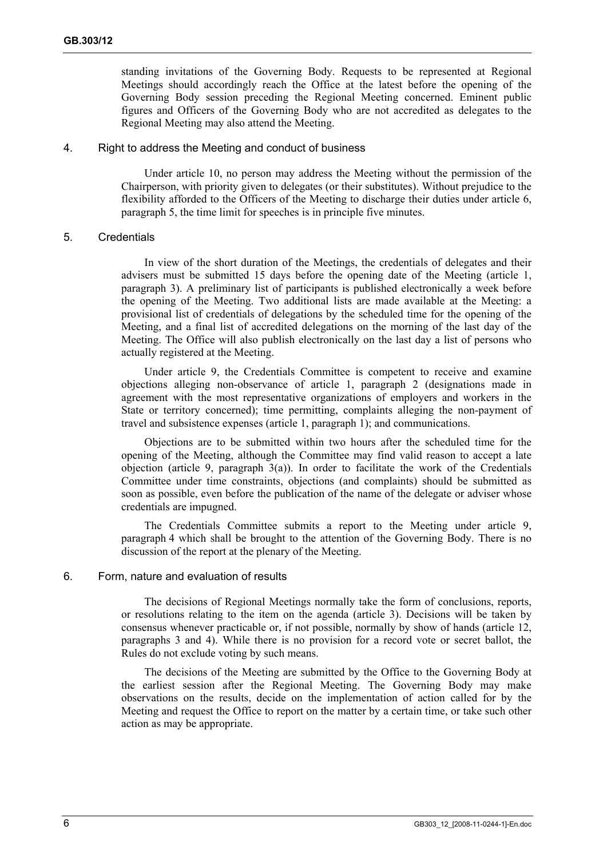standing invitations of the Governing Body. Requests to be represented at Regional Meetings should accordingly reach the Office at the latest before the opening of the Governing Body session preceding the Regional Meeting concerned. Eminent public figures and Officers of the Governing Body who are not accredited as delegates to the Regional Meeting may also attend the Meeting.

#### 4. Right to address the Meeting and conduct of business

Under article 10, no person may address the Meeting without the permission of the Chairperson, with priority given to delegates (or their substitutes). Without prejudice to the flexibility afforded to the Officers of the Meeting to discharge their duties under article 6, paragraph 5, the time limit for speeches is in principle five minutes.

#### 5. Credentials

In view of the short duration of the Meetings, the credentials of delegates and their advisers must be submitted 15 days before the opening date of the Meeting (article 1, paragraph 3). A preliminary list of participants is published electronically a week before the opening of the Meeting. Two additional lists are made available at the Meeting: a provisional list of credentials of delegations by the scheduled time for the opening of the Meeting, and a final list of accredited delegations on the morning of the last day of the Meeting. The Office will also publish electronically on the last day a list of persons who actually registered at the Meeting.

Under article 9, the Credentials Committee is competent to receive and examine objections alleging non-observance of article 1, paragraph 2 (designations made in agreement with the most representative organizations of employers and workers in the State or territory concerned); time permitting, complaints alleging the non-payment of travel and subsistence expenses (article 1, paragraph 1); and communications.

Objections are to be submitted within two hours after the scheduled time for the opening of the Meeting, although the Committee may find valid reason to accept a late objection (article 9, paragraph  $3(a)$ ). In order to facilitate the work of the Credentials Committee under time constraints, objections (and complaints) should be submitted as soon as possible, even before the publication of the name of the delegate or adviser whose credentials are impugned.

The Credentials Committee submits a report to the Meeting under article 9, paragraph 4 which shall be brought to the attention of the Governing Body. There is no discussion of the report at the plenary of the Meeting.

#### 6. Form, nature and evaluation of results

The decisions of Regional Meetings normally take the form of conclusions, reports, or resolutions relating to the item on the agenda (article 3). Decisions will be taken by consensus whenever practicable or, if not possible, normally by show of hands (article 12, paragraphs 3 and 4). While there is no provision for a record vote or secret ballot, the Rules do not exclude voting by such means.

The decisions of the Meeting are submitted by the Office to the Governing Body at the earliest session after the Regional Meeting. The Governing Body may make observations on the results, decide on the implementation of action called for by the Meeting and request the Office to report on the matter by a certain time, or take such other action as may be appropriate.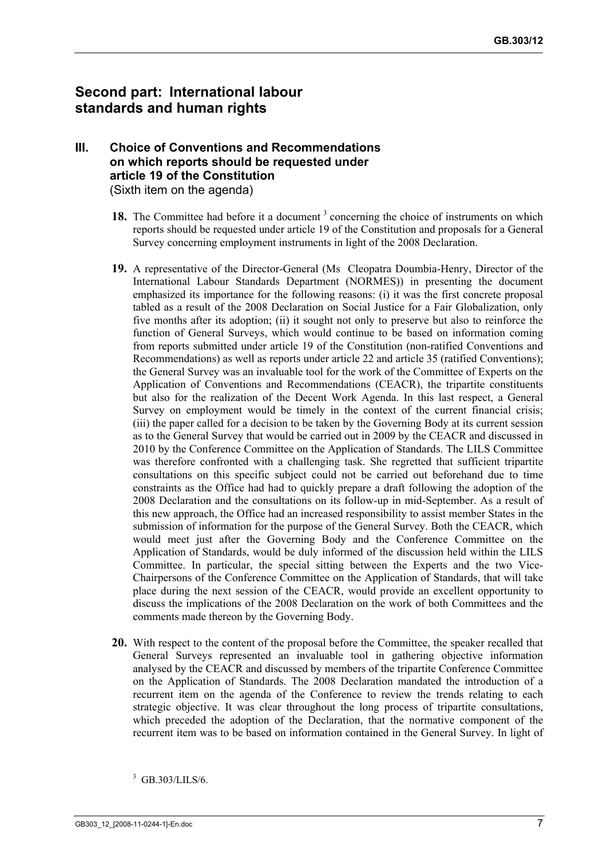## **Second part: International labour standards and human rights**

#### **III. Choice of Conventions and Recommendations on which reports should be requested under article 19 of the Constitution**  (Sixth item on the agenda)

- 18. The Committee had before it a document<sup>3</sup> concerning the choice of instruments on which reports should be requested under article 19 of the Constitution and proposals for a General Survey concerning employment instruments in light of the 2008 Declaration.
- **19.** A representative of the Director-General (Ms Cleopatra Doumbia-Henry, Director of the International Labour Standards Department (NORMES)) in presenting the document emphasized its importance for the following reasons: (i) it was the first concrete proposal tabled as a result of the 2008 Declaration on Social Justice for a Fair Globalization, only five months after its adoption; (ii) it sought not only to preserve but also to reinforce the function of General Surveys, which would continue to be based on information coming from reports submitted under article 19 of the Constitution (non-ratified Conventions and Recommendations) as well as reports under article 22 and article 35 (ratified Conventions); the General Survey was an invaluable tool for the work of the Committee of Experts on the Application of Conventions and Recommendations (CEACR), the tripartite constituents but also for the realization of the Decent Work Agenda. In this last respect, a General Survey on employment would be timely in the context of the current financial crisis; (iii) the paper called for a decision to be taken by the Governing Body at its current session as to the General Survey that would be carried out in 2009 by the CEACR and discussed in 2010 by the Conference Committee on the Application of Standards. The LILS Committee was therefore confronted with a challenging task. She regretted that sufficient tripartite consultations on this specific subject could not be carried out beforehand due to time constraints as the Office had had to quickly prepare a draft following the adoption of the 2008 Declaration and the consultations on its follow-up in mid-September. As a result of this new approach, the Office had an increased responsibility to assist member States in the submission of information for the purpose of the General Survey. Both the CEACR, which would meet just after the Governing Body and the Conference Committee on the Application of Standards, would be duly informed of the discussion held within the LILS Committee. In particular, the special sitting between the Experts and the two Vice-Chairpersons of the Conference Committee on the Application of Standards, that will take place during the next session of the CEACR, would provide an excellent opportunity to discuss the implications of the 2008 Declaration on the work of both Committees and the comments made thereon by the Governing Body.
- **20.** With respect to the content of the proposal before the Committee, the speaker recalled that General Surveys represented an invaluable tool in gathering objective information analysed by the CEACR and discussed by members of the tripartite Conference Committee on the Application of Standards. The 2008 Declaration mandated the introduction of a recurrent item on the agenda of the Conference to review the trends relating to each strategic objective. It was clear throughout the long process of tripartite consultations, which preceded the adoption of the Declaration, that the normative component of the recurrent item was to be based on information contained in the General Survey. In light of

<sup>3</sup> GB.303/LILS/6.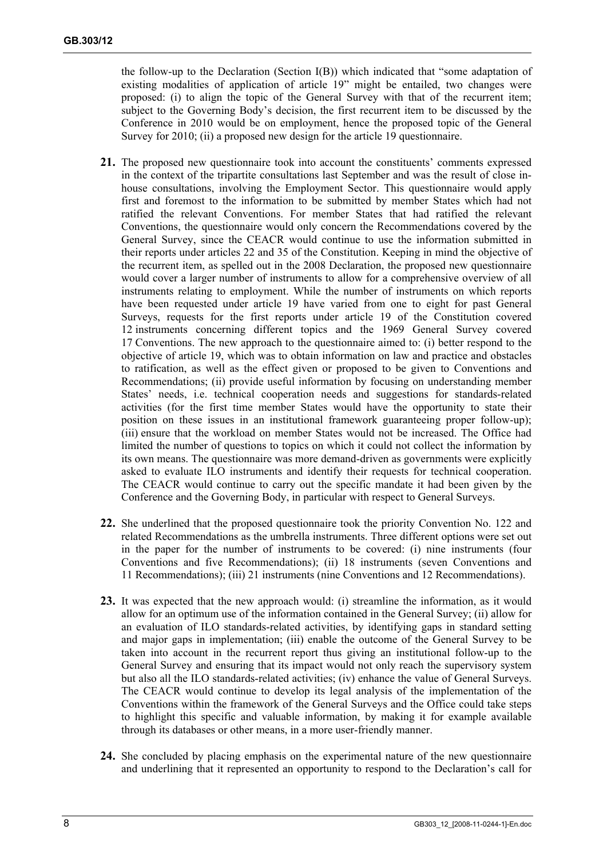the follow-up to the Declaration (Section I(B)) which indicated that "some adaptation of existing modalities of application of article 19" might be entailed, two changes were proposed: (i) to align the topic of the General Survey with that of the recurrent item; subject to the Governing Body's decision, the first recurrent item to be discussed by the Conference in 2010 would be on employment, hence the proposed topic of the General Survey for 2010; (ii) a proposed new design for the article 19 questionnaire.

- **21.** The proposed new questionnaire took into account the constituents' comments expressed in the context of the tripartite consultations last September and was the result of close inhouse consultations, involving the Employment Sector. This questionnaire would apply first and foremost to the information to be submitted by member States which had not ratified the relevant Conventions. For member States that had ratified the relevant Conventions, the questionnaire would only concern the Recommendations covered by the General Survey, since the CEACR would continue to use the information submitted in their reports under articles 22 and 35 of the Constitution. Keeping in mind the objective of the recurrent item, as spelled out in the 2008 Declaration, the proposed new questionnaire would cover a larger number of instruments to allow for a comprehensive overview of all instruments relating to employment. While the number of instruments on which reports have been requested under article 19 have varied from one to eight for past General Surveys, requests for the first reports under article 19 of the Constitution covered 12 instruments concerning different topics and the 1969 General Survey covered 17 Conventions. The new approach to the questionnaire aimed to: (i) better respond to the objective of article 19, which was to obtain information on law and practice and obstacles to ratification, as well as the effect given or proposed to be given to Conventions and Recommendations; (ii) provide useful information by focusing on understanding member States' needs, i.e. technical cooperation needs and suggestions for standards-related activities (for the first time member States would have the opportunity to state their position on these issues in an institutional framework guaranteeing proper follow-up); (iii) ensure that the workload on member States would not be increased. The Office had limited the number of questions to topics on which it could not collect the information by its own means. The questionnaire was more demand-driven as governments were explicitly asked to evaluate ILO instruments and identify their requests for technical cooperation. The CEACR would continue to carry out the specific mandate it had been given by the Conference and the Governing Body, in particular with respect to General Surveys.
- **22.** She underlined that the proposed questionnaire took the priority Convention No. 122 and related Recommendations as the umbrella instruments. Three different options were set out in the paper for the number of instruments to be covered: (i) nine instruments (four Conventions and five Recommendations); (ii) 18 instruments (seven Conventions and 11 Recommendations); (iii) 21 instruments (nine Conventions and 12 Recommendations).
- **23.** It was expected that the new approach would: (i) streamline the information, as it would allow for an optimum use of the information contained in the General Survey; (ii) allow for an evaluation of ILO standards-related activities, by identifying gaps in standard setting and major gaps in implementation; (iii) enable the outcome of the General Survey to be taken into account in the recurrent report thus giving an institutional follow-up to the General Survey and ensuring that its impact would not only reach the supervisory system but also all the ILO standards-related activities; (iv) enhance the value of General Surveys. The CEACR would continue to develop its legal analysis of the implementation of the Conventions within the framework of the General Surveys and the Office could take steps to highlight this specific and valuable information, by making it for example available through its databases or other means, in a more user-friendly manner.
- **24.** She concluded by placing emphasis on the experimental nature of the new questionnaire and underlining that it represented an opportunity to respond to the Declaration's call for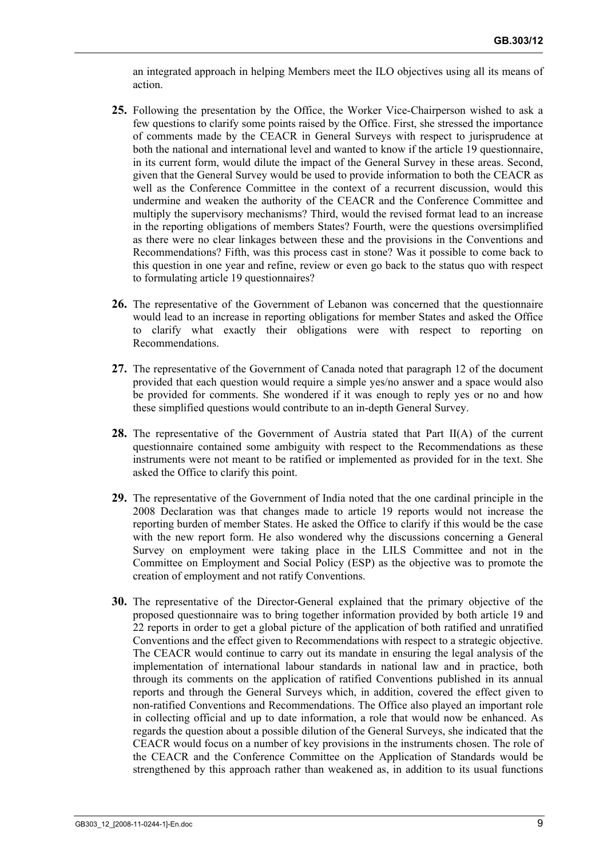an integrated approach in helping Members meet the ILO objectives using all its means of action.

- **25.** Following the presentation by the Office, the Worker Vice-Chairperson wished to ask a few questions to clarify some points raised by the Office. First, she stressed the importance of comments made by the CEACR in General Surveys with respect to jurisprudence at both the national and international level and wanted to know if the article 19 questionnaire, in its current form, would dilute the impact of the General Survey in these areas. Second, given that the General Survey would be used to provide information to both the CEACR as well as the Conference Committee in the context of a recurrent discussion, would this undermine and weaken the authority of the CEACR and the Conference Committee and multiply the supervisory mechanisms? Third, would the revised format lead to an increase in the reporting obligations of members States? Fourth, were the questions oversimplified as there were no clear linkages between these and the provisions in the Conventions and Recommendations? Fifth, was this process cast in stone? Was it possible to come back to this question in one year and refine, review or even go back to the status quo with respect to formulating article 19 questionnaires?
- **26.** The representative of the Government of Lebanon was concerned that the questionnaire would lead to an increase in reporting obligations for member States and asked the Office to clarify what exactly their obligations were with respect to reporting on Recommendations.
- **27.** The representative of the Government of Canada noted that paragraph 12 of the document provided that each question would require a simple yes/no answer and a space would also be provided for comments. She wondered if it was enough to reply yes or no and how these simplified questions would contribute to an in-depth General Survey.
- **28.** The representative of the Government of Austria stated that Part II(A) of the current questionnaire contained some ambiguity with respect to the Recommendations as these instruments were not meant to be ratified or implemented as provided for in the text. She asked the Office to clarify this point.
- **29.** The representative of the Government of India noted that the one cardinal principle in the 2008 Declaration was that changes made to article 19 reports would not increase the reporting burden of member States. He asked the Office to clarify if this would be the case with the new report form. He also wondered why the discussions concerning a General Survey on employment were taking place in the LILS Committee and not in the Committee on Employment and Social Policy (ESP) as the objective was to promote the creation of employment and not ratify Conventions.
- **30.** The representative of the Director-General explained that the primary objective of the proposed questionnaire was to bring together information provided by both article 19 and 22 reports in order to get a global picture of the application of both ratified and unratified Conventions and the effect given to Recommendations with respect to a strategic objective. The CEACR would continue to carry out its mandate in ensuring the legal analysis of the implementation of international labour standards in national law and in practice, both through its comments on the application of ratified Conventions published in its annual reports and through the General Surveys which, in addition, covered the effect given to non-ratified Conventions and Recommendations. The Office also played an important role in collecting official and up to date information, a role that would now be enhanced. As regards the question about a possible dilution of the General Surveys, she indicated that the CEACR would focus on a number of key provisions in the instruments chosen. The role of the CEACR and the Conference Committee on the Application of Standards would be strengthened by this approach rather than weakened as, in addition to its usual functions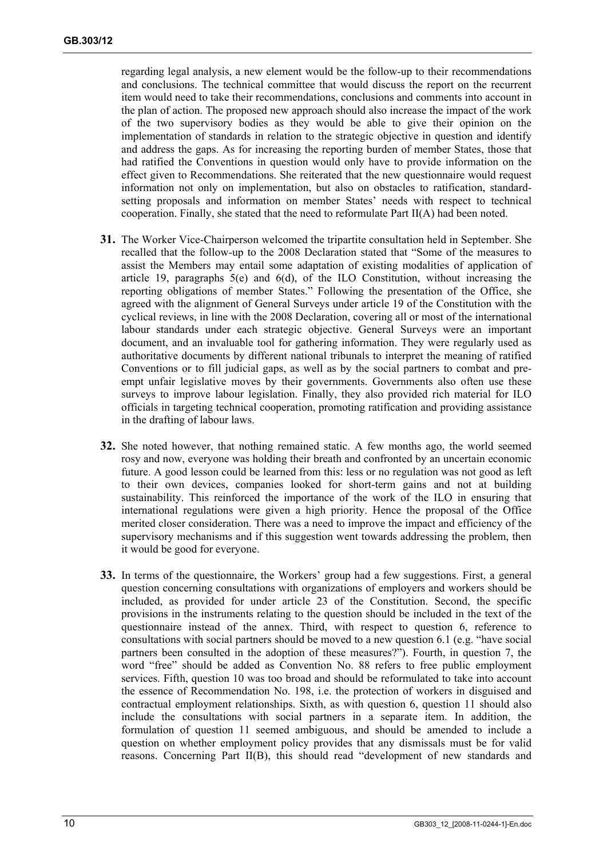regarding legal analysis, a new element would be the follow-up to their recommendations and conclusions. The technical committee that would discuss the report on the recurrent item would need to take their recommendations, conclusions and comments into account in the plan of action. The proposed new approach should also increase the impact of the work of the two supervisory bodies as they would be able to give their opinion on the implementation of standards in relation to the strategic objective in question and identify and address the gaps. As for increasing the reporting burden of member States, those that had ratified the Conventions in question would only have to provide information on the effect given to Recommendations. She reiterated that the new questionnaire would request information not only on implementation, but also on obstacles to ratification, standardsetting proposals and information on member States' needs with respect to technical cooperation. Finally, she stated that the need to reformulate Part II(A) had been noted.

- **31.** The Worker Vice-Chairperson welcomed the tripartite consultation held in September. She recalled that the follow-up to the 2008 Declaration stated that "Some of the measures to assist the Members may entail some adaptation of existing modalities of application of article 19, paragraphs  $5(e)$  and  $6(d)$ , of the ILO Constitution, without increasing the reporting obligations of member States." Following the presentation of the Office, she agreed with the alignment of General Surveys under article 19 of the Constitution with the cyclical reviews, in line with the 2008 Declaration, covering all or most of the international labour standards under each strategic objective. General Surveys were an important document, and an invaluable tool for gathering information. They were regularly used as authoritative documents by different national tribunals to interpret the meaning of ratified Conventions or to fill judicial gaps, as well as by the social partners to combat and preempt unfair legislative moves by their governments. Governments also often use these surveys to improve labour legislation. Finally, they also provided rich material for ILO officials in targeting technical cooperation, promoting ratification and providing assistance in the drafting of labour laws.
- **32.** She noted however, that nothing remained static. A few months ago, the world seemed rosy and now, everyone was holding their breath and confronted by an uncertain economic future. A good lesson could be learned from this: less or no regulation was not good as left to their own devices, companies looked for short-term gains and not at building sustainability. This reinforced the importance of the work of the ILO in ensuring that international regulations were given a high priority. Hence the proposal of the Office merited closer consideration. There was a need to improve the impact and efficiency of the supervisory mechanisms and if this suggestion went towards addressing the problem, then it would be good for everyone.
- **33.** In terms of the questionnaire, the Workers' group had a few suggestions. First, a general question concerning consultations with organizations of employers and workers should be included, as provided for under article 23 of the Constitution. Second, the specific provisions in the instruments relating to the question should be included in the text of the questionnaire instead of the annex. Third, with respect to question 6, reference to consultations with social partners should be moved to a new question 6.1 (e.g. "have social partners been consulted in the adoption of these measures?"). Fourth, in question 7, the word "free" should be added as Convention No. 88 refers to free public employment services. Fifth, question 10 was too broad and should be reformulated to take into account the essence of Recommendation No. 198, i.e. the protection of workers in disguised and contractual employment relationships. Sixth, as with question 6, question 11 should also include the consultations with social partners in a separate item. In addition, the formulation of question 11 seemed ambiguous, and should be amended to include a question on whether employment policy provides that any dismissals must be for valid reasons. Concerning Part II(B), this should read "development of new standards and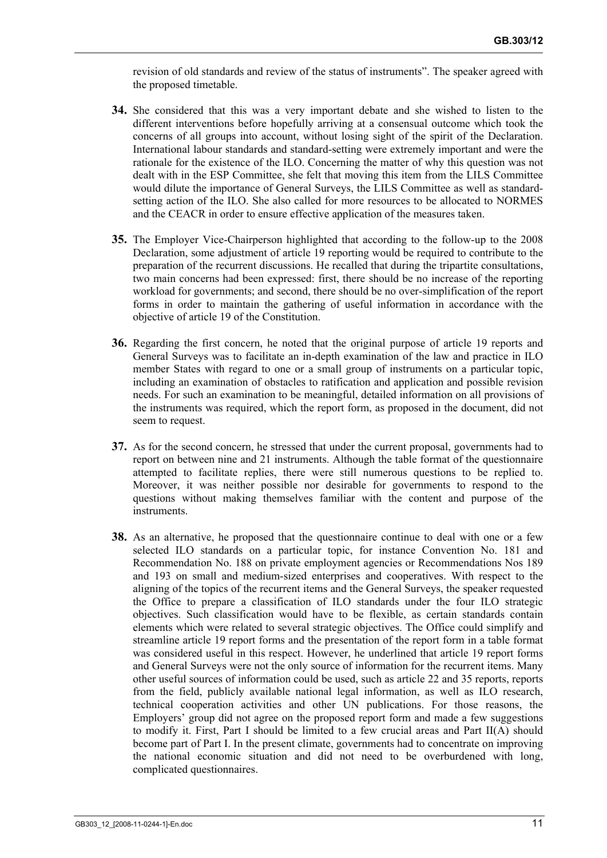revision of old standards and review of the status of instruments". The speaker agreed with the proposed timetable.

- **34.** She considered that this was a very important debate and she wished to listen to the different interventions before hopefully arriving at a consensual outcome which took the concerns of all groups into account, without losing sight of the spirit of the Declaration. International labour standards and standard-setting were extremely important and were the rationale for the existence of the ILO. Concerning the matter of why this question was not dealt with in the ESP Committee, she felt that moving this item from the LILS Committee would dilute the importance of General Surveys, the LILS Committee as well as standardsetting action of the ILO. She also called for more resources to be allocated to NORMES and the CEACR in order to ensure effective application of the measures taken.
- **35.** The Employer Vice-Chairperson highlighted that according to the follow-up to the 2008 Declaration, some adjustment of article 19 reporting would be required to contribute to the preparation of the recurrent discussions. He recalled that during the tripartite consultations, two main concerns had been expressed: first, there should be no increase of the reporting workload for governments; and second, there should be no over-simplification of the report forms in order to maintain the gathering of useful information in accordance with the objective of article 19 of the Constitution.
- **36.** Regarding the first concern, he noted that the original purpose of article 19 reports and General Surveys was to facilitate an in-depth examination of the law and practice in ILO member States with regard to one or a small group of instruments on a particular topic, including an examination of obstacles to ratification and application and possible revision needs. For such an examination to be meaningful, detailed information on all provisions of the instruments was required, which the report form, as proposed in the document, did not seem to request.
- **37.** As for the second concern, he stressed that under the current proposal, governments had to report on between nine and 21 instruments. Although the table format of the questionnaire attempted to facilitate replies, there were still numerous questions to be replied to. Moreover, it was neither possible nor desirable for governments to respond to the questions without making themselves familiar with the content and purpose of the instruments.
- **38.** As an alternative, he proposed that the questionnaire continue to deal with one or a few selected ILO standards on a particular topic, for instance Convention No. 181 and Recommendation No. 188 on private employment agencies or Recommendations Nos 189 and 193 on small and medium-sized enterprises and cooperatives. With respect to the aligning of the topics of the recurrent items and the General Surveys, the speaker requested the Office to prepare a classification of ILO standards under the four ILO strategic objectives. Such classification would have to be flexible, as certain standards contain elements which were related to several strategic objectives. The Office could simplify and streamline article 19 report forms and the presentation of the report form in a table format was considered useful in this respect. However, he underlined that article 19 report forms and General Surveys were not the only source of information for the recurrent items. Many other useful sources of information could be used, such as article 22 and 35 reports, reports from the field, publicly available national legal information, as well as ILO research, technical cooperation activities and other UN publications. For those reasons, the Employers' group did not agree on the proposed report form and made a few suggestions to modify it. First, Part I should be limited to a few crucial areas and Part II(A) should become part of Part I. In the present climate, governments had to concentrate on improving the national economic situation and did not need to be overburdened with long, complicated questionnaires.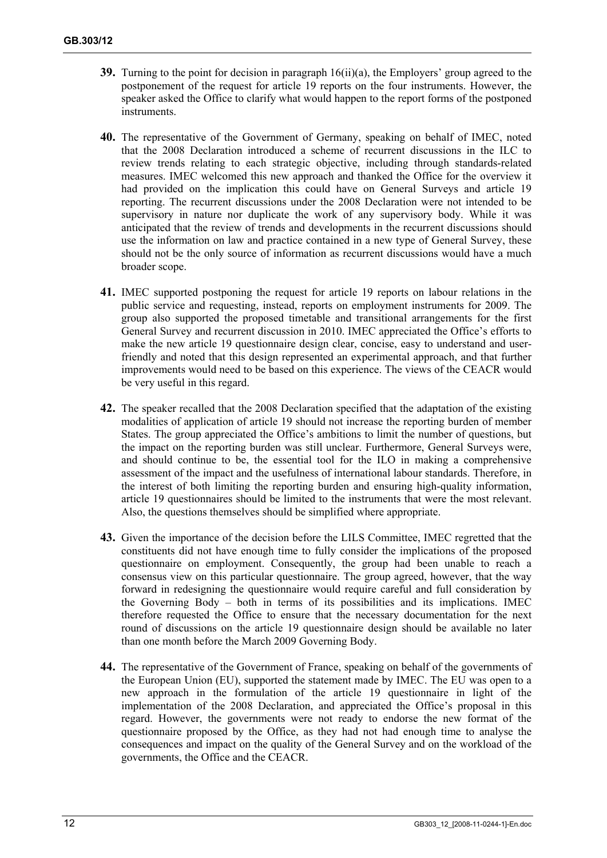- **39.** Turning to the point for decision in paragraph 16(ii)(a), the Employers' group agreed to the postponement of the request for article 19 reports on the four instruments. However, the speaker asked the Office to clarify what would happen to the report forms of the postponed instruments.
- **40.** The representative of the Government of Germany, speaking on behalf of IMEC, noted that the 2008 Declaration introduced a scheme of recurrent discussions in the ILC to review trends relating to each strategic objective, including through standards-related measures. IMEC welcomed this new approach and thanked the Office for the overview it had provided on the implication this could have on General Surveys and article 19 reporting. The recurrent discussions under the 2008 Declaration were not intended to be supervisory in nature nor duplicate the work of any supervisory body. While it was anticipated that the review of trends and developments in the recurrent discussions should use the information on law and practice contained in a new type of General Survey, these should not be the only source of information as recurrent discussions would have a much broader scope.
- **41.** IMEC supported postponing the request for article 19 reports on labour relations in the public service and requesting, instead, reports on employment instruments for 2009. The group also supported the proposed timetable and transitional arrangements for the first General Survey and recurrent discussion in 2010. IMEC appreciated the Office's efforts to make the new article 19 questionnaire design clear, concise, easy to understand and userfriendly and noted that this design represented an experimental approach, and that further improvements would need to be based on this experience. The views of the CEACR would be very useful in this regard.
- **42.** The speaker recalled that the 2008 Declaration specified that the adaptation of the existing modalities of application of article 19 should not increase the reporting burden of member States. The group appreciated the Office's ambitions to limit the number of questions, but the impact on the reporting burden was still unclear. Furthermore, General Surveys were, and should continue to be, the essential tool for the ILO in making a comprehensive assessment of the impact and the usefulness of international labour standards. Therefore, in the interest of both limiting the reporting burden and ensuring high-quality information, article 19 questionnaires should be limited to the instruments that were the most relevant. Also, the questions themselves should be simplified where appropriate.
- **43.** Given the importance of the decision before the LILS Committee, IMEC regretted that the constituents did not have enough time to fully consider the implications of the proposed questionnaire on employment. Consequently, the group had been unable to reach a consensus view on this particular questionnaire. The group agreed, however, that the way forward in redesigning the questionnaire would require careful and full consideration by the Governing Body – both in terms of its possibilities and its implications. IMEC therefore requested the Office to ensure that the necessary documentation for the next round of discussions on the article 19 questionnaire design should be available no later than one month before the March 2009 Governing Body.
- **44.** The representative of the Government of France, speaking on behalf of the governments of the European Union (EU), supported the statement made by IMEC. The EU was open to a new approach in the formulation of the article 19 questionnaire in light of the implementation of the 2008 Declaration, and appreciated the Office's proposal in this regard. However, the governments were not ready to endorse the new format of the questionnaire proposed by the Office, as they had not had enough time to analyse the consequences and impact on the quality of the General Survey and on the workload of the governments, the Office and the CEACR.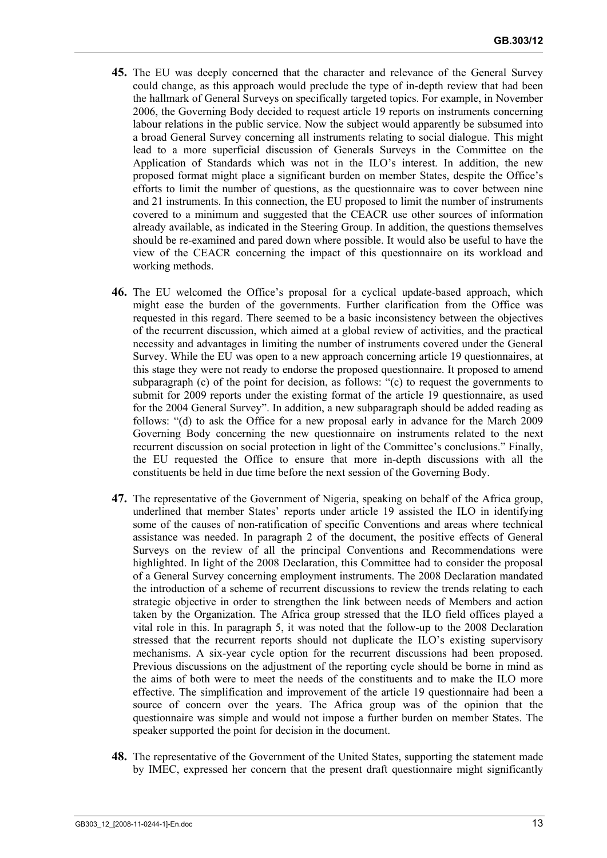- **45.** The EU was deeply concerned that the character and relevance of the General Survey could change, as this approach would preclude the type of in-depth review that had been the hallmark of General Surveys on specifically targeted topics. For example, in November 2006, the Governing Body decided to request article 19 reports on instruments concerning labour relations in the public service. Now the subject would apparently be subsumed into a broad General Survey concerning all instruments relating to social dialogue. This might lead to a more superficial discussion of Generals Surveys in the Committee on the Application of Standards which was not in the ILO's interest. In addition, the new proposed format might place a significant burden on member States, despite the Office's efforts to limit the number of questions, as the questionnaire was to cover between nine and 21 instruments. In this connection, the EU proposed to limit the number of instruments covered to a minimum and suggested that the CEACR use other sources of information already available, as indicated in the Steering Group. In addition, the questions themselves should be re-examined and pared down where possible. It would also be useful to have the view of the CEACR concerning the impact of this questionnaire on its workload and working methods.
- **46.** The EU welcomed the Office's proposal for a cyclical update-based approach, which might ease the burden of the governments. Further clarification from the Office was requested in this regard. There seemed to be a basic inconsistency between the objectives of the recurrent discussion, which aimed at a global review of activities, and the practical necessity and advantages in limiting the number of instruments covered under the General Survey. While the EU was open to a new approach concerning article 19 questionnaires, at this stage they were not ready to endorse the proposed questionnaire. It proposed to amend subparagraph (c) of the point for decision, as follows: "(c) to request the governments to submit for 2009 reports under the existing format of the article 19 questionnaire, as used for the 2004 General Survey". In addition, a new subparagraph should be added reading as follows: "(d) to ask the Office for a new proposal early in advance for the March 2009 Governing Body concerning the new questionnaire on instruments related to the next recurrent discussion on social protection in light of the Committee's conclusions." Finally, the EU requested the Office to ensure that more in-depth discussions with all the constituents be held in due time before the next session of the Governing Body.
- **47.** The representative of the Government of Nigeria, speaking on behalf of the Africa group, underlined that member States' reports under article 19 assisted the ILO in identifying some of the causes of non-ratification of specific Conventions and areas where technical assistance was needed. In paragraph 2 of the document, the positive effects of General Surveys on the review of all the principal Conventions and Recommendations were highlighted. In light of the 2008 Declaration, this Committee had to consider the proposal of a General Survey concerning employment instruments. The 2008 Declaration mandated the introduction of a scheme of recurrent discussions to review the trends relating to each strategic objective in order to strengthen the link between needs of Members and action taken by the Organization. The Africa group stressed that the ILO field offices played a vital role in this. In paragraph 5, it was noted that the follow-up to the 2008 Declaration stressed that the recurrent reports should not duplicate the ILO's existing supervisory mechanisms. A six-year cycle option for the recurrent discussions had been proposed. Previous discussions on the adjustment of the reporting cycle should be borne in mind as the aims of both were to meet the needs of the constituents and to make the ILO more effective. The simplification and improvement of the article 19 questionnaire had been a source of concern over the years. The Africa group was of the opinion that the questionnaire was simple and would not impose a further burden on member States. The speaker supported the point for decision in the document.
- **48.** The representative of the Government of the United States, supporting the statement made by IMEC, expressed her concern that the present draft questionnaire might significantly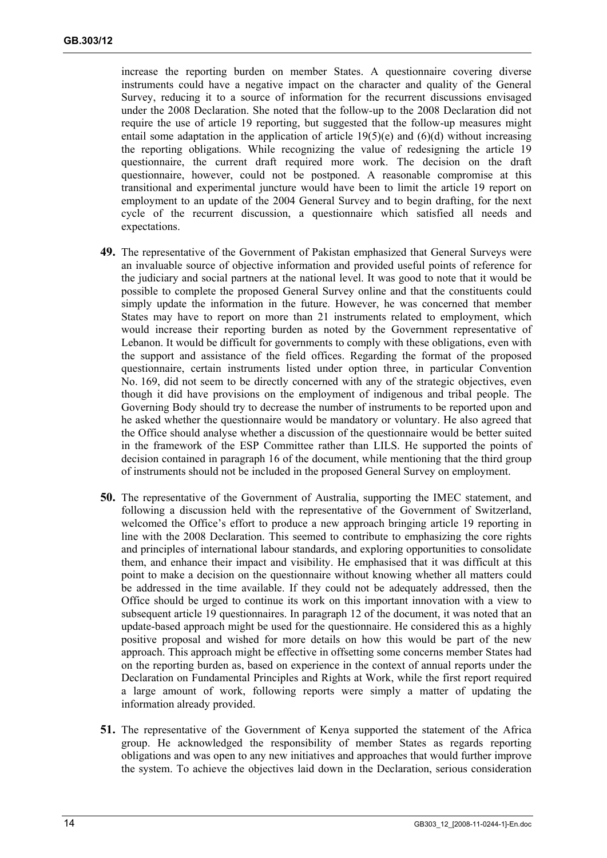increase the reporting burden on member States. A questionnaire covering diverse instruments could have a negative impact on the character and quality of the General Survey, reducing it to a source of information for the recurrent discussions envisaged under the 2008 Declaration. She noted that the follow-up to the 2008 Declaration did not require the use of article 19 reporting, but suggested that the follow-up measures might entail some adaptation in the application of article  $19(5)(e)$  and  $(6)(d)$  without increasing the reporting obligations. While recognizing the value of redesigning the article 19 questionnaire, the current draft required more work. The decision on the draft questionnaire, however, could not be postponed. A reasonable compromise at this transitional and experimental juncture would have been to limit the article 19 report on employment to an update of the 2004 General Survey and to begin drafting, for the next cycle of the recurrent discussion, a questionnaire which satisfied all needs and expectations.

- **49.** The representative of the Government of Pakistan emphasized that General Surveys were an invaluable source of objective information and provided useful points of reference for the judiciary and social partners at the national level. It was good to note that it would be possible to complete the proposed General Survey online and that the constituents could simply update the information in the future. However, he was concerned that member States may have to report on more than 21 instruments related to employment, which would increase their reporting burden as noted by the Government representative of Lebanon. It would be difficult for governments to comply with these obligations, even with the support and assistance of the field offices. Regarding the format of the proposed questionnaire, certain instruments listed under option three, in particular Convention No. 169, did not seem to be directly concerned with any of the strategic objectives, even though it did have provisions on the employment of indigenous and tribal people. The Governing Body should try to decrease the number of instruments to be reported upon and he asked whether the questionnaire would be mandatory or voluntary. He also agreed that the Office should analyse whether a discussion of the questionnaire would be better suited in the framework of the ESP Committee rather than LILS. He supported the points of decision contained in paragraph 16 of the document, while mentioning that the third group of instruments should not be included in the proposed General Survey on employment.
- **50.** The representative of the Government of Australia, supporting the IMEC statement, and following a discussion held with the representative of the Government of Switzerland, welcomed the Office's effort to produce a new approach bringing article 19 reporting in line with the 2008 Declaration. This seemed to contribute to emphasizing the core rights and principles of international labour standards, and exploring opportunities to consolidate them, and enhance their impact and visibility. He emphasised that it was difficult at this point to make a decision on the questionnaire without knowing whether all matters could be addressed in the time available. If they could not be adequately addressed, then the Office should be urged to continue its work on this important innovation with a view to subsequent article 19 questionnaires. In paragraph 12 of the document, it was noted that an update-based approach might be used for the questionnaire. He considered this as a highly positive proposal and wished for more details on how this would be part of the new approach. This approach might be effective in offsetting some concerns member States had on the reporting burden as, based on experience in the context of annual reports under the Declaration on Fundamental Principles and Rights at Work, while the first report required a large amount of work, following reports were simply a matter of updating the information already provided.
- **51.** The representative of the Government of Kenya supported the statement of the Africa group. He acknowledged the responsibility of member States as regards reporting obligations and was open to any new initiatives and approaches that would further improve the system. To achieve the objectives laid down in the Declaration, serious consideration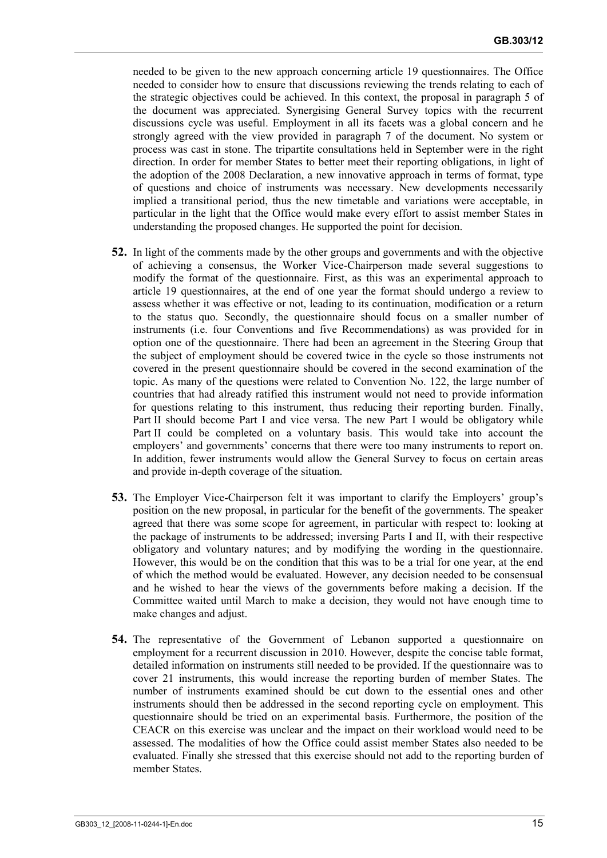needed to be given to the new approach concerning article 19 questionnaires. The Office needed to consider how to ensure that discussions reviewing the trends relating to each of the strategic objectives could be achieved. In this context, the proposal in paragraph 5 of the document was appreciated. Synergising General Survey topics with the recurrent discussions cycle was useful. Employment in all its facets was a global concern and he strongly agreed with the view provided in paragraph 7 of the document. No system or process was cast in stone. The tripartite consultations held in September were in the right direction. In order for member States to better meet their reporting obligations, in light of the adoption of the 2008 Declaration, a new innovative approach in terms of format, type of questions and choice of instruments was necessary. New developments necessarily implied a transitional period, thus the new timetable and variations were acceptable, in particular in the light that the Office would make every effort to assist member States in understanding the proposed changes. He supported the point for decision.

- **52.** In light of the comments made by the other groups and governments and with the objective of achieving a consensus, the Worker Vice-Chairperson made several suggestions to modify the format of the questionnaire. First, as this was an experimental approach to article 19 questionnaires, at the end of one year the format should undergo a review to assess whether it was effective or not, leading to its continuation, modification or a return to the status quo. Secondly, the questionnaire should focus on a smaller number of instruments (i.e. four Conventions and five Recommendations) as was provided for in option one of the questionnaire. There had been an agreement in the Steering Group that the subject of employment should be covered twice in the cycle so those instruments not covered in the present questionnaire should be covered in the second examination of the topic. As many of the questions were related to Convention No. 122, the large number of countries that had already ratified this instrument would not need to provide information for questions relating to this instrument, thus reducing their reporting burden. Finally, Part II should become Part I and vice versa. The new Part I would be obligatory while Part II could be completed on a voluntary basis. This would take into account the employers' and governments' concerns that there were too many instruments to report on. In addition, fewer instruments would allow the General Survey to focus on certain areas and provide in-depth coverage of the situation.
- **53.** The Employer Vice-Chairperson felt it was important to clarify the Employers' group's position on the new proposal, in particular for the benefit of the governments. The speaker agreed that there was some scope for agreement, in particular with respect to: looking at the package of instruments to be addressed; inversing Parts I and II, with their respective obligatory and voluntary natures; and by modifying the wording in the questionnaire. However, this would be on the condition that this was to be a trial for one year, at the end of which the method would be evaluated. However, any decision needed to be consensual and he wished to hear the views of the governments before making a decision. If the Committee waited until March to make a decision, they would not have enough time to make changes and adjust.
- **54.** The representative of the Government of Lebanon supported a questionnaire on employment for a recurrent discussion in 2010. However, despite the concise table format, detailed information on instruments still needed to be provided. If the questionnaire was to cover 21 instruments, this would increase the reporting burden of member States. The number of instruments examined should be cut down to the essential ones and other instruments should then be addressed in the second reporting cycle on employment. This questionnaire should be tried on an experimental basis. Furthermore, the position of the CEACR on this exercise was unclear and the impact on their workload would need to be assessed. The modalities of how the Office could assist member States also needed to be evaluated. Finally she stressed that this exercise should not add to the reporting burden of member States.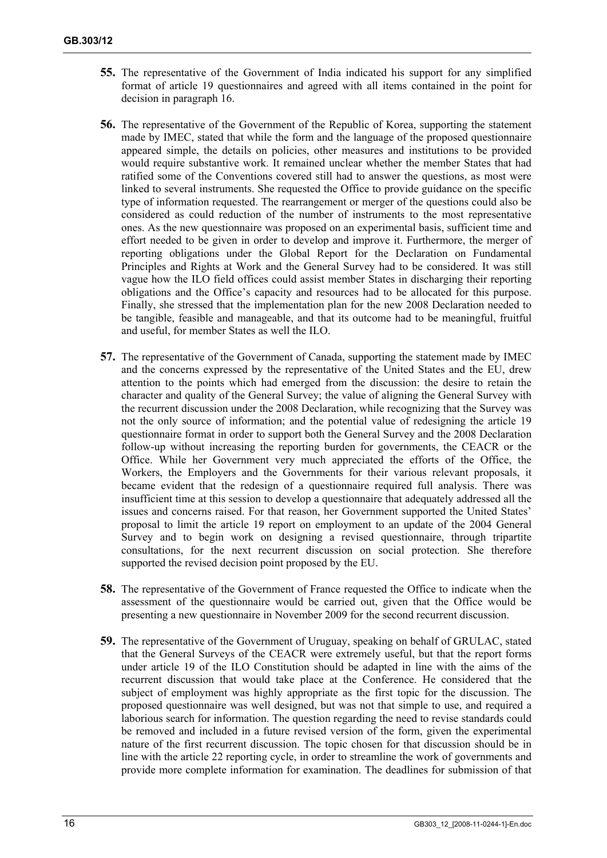- **55.** The representative of the Government of India indicated his support for any simplified format of article 19 questionnaires and agreed with all items contained in the point for decision in paragraph 16.
- **56.** The representative of the Government of the Republic of Korea, supporting the statement made by IMEC, stated that while the form and the language of the proposed questionnaire appeared simple, the details on policies, other measures and institutions to be provided would require substantive work. It remained unclear whether the member States that had ratified some of the Conventions covered still had to answer the questions, as most were linked to several instruments. She requested the Office to provide guidance on the specific type of information requested. The rearrangement or merger of the questions could also be considered as could reduction of the number of instruments to the most representative ones. As the new questionnaire was proposed on an experimental basis, sufficient time and effort needed to be given in order to develop and improve it. Furthermore, the merger of reporting obligations under the Global Report for the Declaration on Fundamental Principles and Rights at Work and the General Survey had to be considered. It was still vague how the ILO field offices could assist member States in discharging their reporting obligations and the Office's capacity and resources had to be allocated for this purpose. Finally, she stressed that the implementation plan for the new 2008 Declaration needed to be tangible, feasible and manageable, and that its outcome had to be meaningful, fruitful and useful, for member States as well the ILO.
- **57.** The representative of the Government of Canada, supporting the statement made by IMEC and the concerns expressed by the representative of the United States and the EU, drew attention to the points which had emerged from the discussion: the desire to retain the character and quality of the General Survey; the value of aligning the General Survey with the recurrent discussion under the 2008 Declaration, while recognizing that the Survey was not the only source of information; and the potential value of redesigning the article 19 questionnaire format in order to support both the General Survey and the 2008 Declaration follow-up without increasing the reporting burden for governments, the CEACR or the Office. While her Government very much appreciated the efforts of the Office, the Workers, the Employers and the Governments for their various relevant proposals, it became evident that the redesign of a questionnaire required full analysis. There was insufficient time at this session to develop a questionnaire that adequately addressed all the issues and concerns raised. For that reason, her Government supported the United States' proposal to limit the article 19 report on employment to an update of the 2004 General Survey and to begin work on designing a revised questionnaire, through tripartite consultations, for the next recurrent discussion on social protection. She therefore supported the revised decision point proposed by the EU.
- **58.** The representative of the Government of France requested the Office to indicate when the assessment of the questionnaire would be carried out, given that the Office would be presenting a new questionnaire in November 2009 for the second recurrent discussion.
- **59.** The representative of the Government of Uruguay, speaking on behalf of GRULAC, stated that the General Surveys of the CEACR were extremely useful, but that the report forms under article 19 of the ILO Constitution should be adapted in line with the aims of the recurrent discussion that would take place at the Conference. He considered that the subject of employment was highly appropriate as the first topic for the discussion. The proposed questionnaire was well designed, but was not that simple to use, and required a laborious search for information. The question regarding the need to revise standards could be removed and included in a future revised version of the form, given the experimental nature of the first recurrent discussion. The topic chosen for that discussion should be in line with the article 22 reporting cycle, in order to streamline the work of governments and provide more complete information for examination. The deadlines for submission of that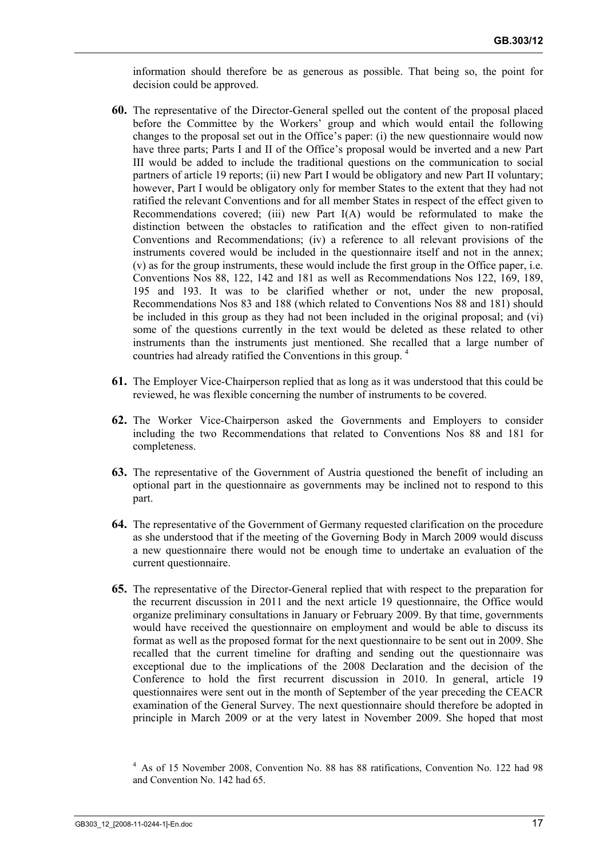information should therefore be as generous as possible. That being so, the point for decision could be approved.

- **60.** The representative of the Director-General spelled out the content of the proposal placed before the Committee by the Workers' group and which would entail the following changes to the proposal set out in the Office's paper: (i) the new questionnaire would now have three parts; Parts I and II of the Office's proposal would be inverted and a new Part III would be added to include the traditional questions on the communication to social partners of article 19 reports; (ii) new Part I would be obligatory and new Part II voluntary; however, Part I would be obligatory only for member States to the extent that they had not ratified the relevant Conventions and for all member States in respect of the effect given to Recommendations covered; (iii) new Part I(A) would be reformulated to make the distinction between the obstacles to ratification and the effect given to non-ratified Conventions and Recommendations; (iv) a reference to all relevant provisions of the instruments covered would be included in the questionnaire itself and not in the annex; (v) as for the group instruments, these would include the first group in the Office paper, i.e. Conventions Nos 88, 122, 142 and 181 as well as Recommendations Nos 122, 169, 189, 195 and 193. It was to be clarified whether or not, under the new proposal, Recommendations Nos 83 and 188 (which related to Conventions Nos 88 and 181) should be included in this group as they had not been included in the original proposal; and (vi) some of the questions currently in the text would be deleted as these related to other instruments than the instruments just mentioned. She recalled that a large number of countries had already ratified the Conventions in this group. 4
- **61.** The Employer Vice-Chairperson replied that as long as it was understood that this could be reviewed, he was flexible concerning the number of instruments to be covered.
- **62.** The Worker Vice-Chairperson asked the Governments and Employers to consider including the two Recommendations that related to Conventions Nos 88 and 181 for completeness.
- **63.** The representative of the Government of Austria questioned the benefit of including an optional part in the questionnaire as governments may be inclined not to respond to this part.
- **64.** The representative of the Government of Germany requested clarification on the procedure as she understood that if the meeting of the Governing Body in March 2009 would discuss a new questionnaire there would not be enough time to undertake an evaluation of the current questionnaire.
- **65.** The representative of the Director-General replied that with respect to the preparation for the recurrent discussion in 2011 and the next article 19 questionnaire, the Office would organize preliminary consultations in January or February 2009. By that time, governments would have received the questionnaire on employment and would be able to discuss its format as well as the proposed format for the next questionnaire to be sent out in 2009. She recalled that the current timeline for drafting and sending out the questionnaire was exceptional due to the implications of the 2008 Declaration and the decision of the Conference to hold the first recurrent discussion in 2010. In general, article 19 questionnaires were sent out in the month of September of the year preceding the CEACR examination of the General Survey. The next questionnaire should therefore be adopted in principle in March 2009 or at the very latest in November 2009. She hoped that most

<sup>4</sup> As of 15 November 2008, Convention No. 88 has 88 ratifications, Convention No. 122 had 98 and Convention No. 142 had 65.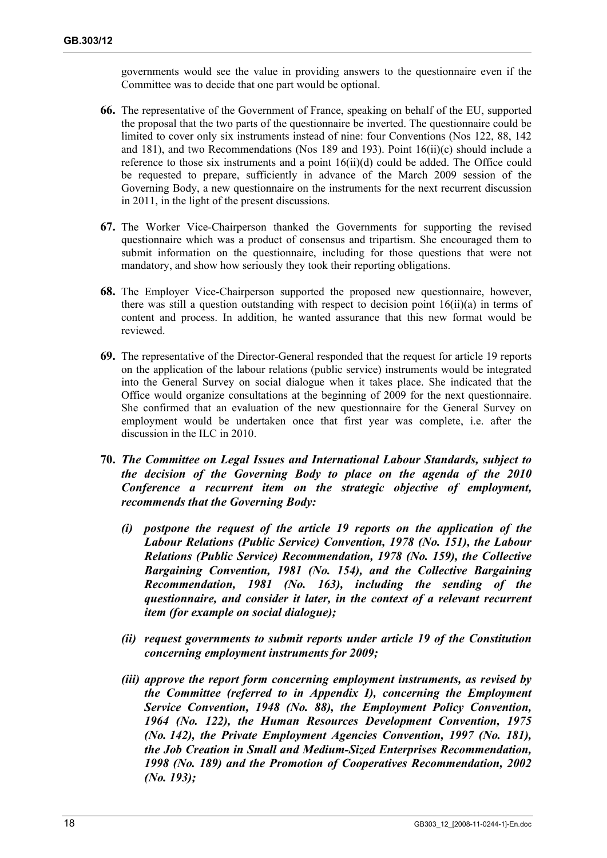governments would see the value in providing answers to the questionnaire even if the Committee was to decide that one part would be optional.

- **66.** The representative of the Government of France, speaking on behalf of the EU, supported the proposal that the two parts of the questionnaire be inverted. The questionnaire could be limited to cover only six instruments instead of nine: four Conventions (Nos 122, 88, 142 and 181), and two Recommendations (Nos 189 and 193). Point 16(ii)(c) should include a reference to those six instruments and a point 16(ii)(d) could be added. The Office could be requested to prepare, sufficiently in advance of the March 2009 session of the Governing Body, a new questionnaire on the instruments for the next recurrent discussion in 2011, in the light of the present discussions.
- **67.** The Worker Vice-Chairperson thanked the Governments for supporting the revised questionnaire which was a product of consensus and tripartism. She encouraged them to submit information on the questionnaire, including for those questions that were not mandatory, and show how seriously they took their reporting obligations.
- **68.** The Employer Vice-Chairperson supported the proposed new questionnaire, however, there was still a question outstanding with respect to decision point 16(ii)(a) in terms of content and process. In addition, he wanted assurance that this new format would be reviewed.
- **69.** The representative of the Director-General responded that the request for article 19 reports on the application of the labour relations (public service) instruments would be integrated into the General Survey on social dialogue when it takes place. She indicated that the Office would organize consultations at the beginning of 2009 for the next questionnaire. She confirmed that an evaluation of the new questionnaire for the General Survey on employment would be undertaken once that first year was complete, i.e. after the discussion in the ILC in 2010.
- **70.** *The Committee on Legal Issues and International Labour Standards, subject to the decision of the Governing Body to place on the agenda of the 2010 Conference a recurrent item on the strategic objective of employment, recommends that the Governing Body:* 
	- *(i) postpone the request of the article 19 reports on the application of the Labour Relations (Public Service) Convention, 1978 (No. 151), the Labour Relations (Public Service) Recommendation, 1978 (No. 159), the Collective Bargaining Convention, 1981 (No. 154), and the Collective Bargaining Recommendation, 1981 (No. 163), including the sending of the questionnaire, and consider it later, in the context of a relevant recurrent item (for example on social dialogue);*
	- *(ii) request governments to submit reports under article 19 of the Constitution concerning employment instruments for 2009;*
	- *(iii) approve the report form concerning employment instruments, as revised by the Committee (referred to in Appendix I), concerning the Employment Service Convention, 1948 (No. 88), the Employment Policy Convention, 1964 (No. 122), the Human Resources Development Convention, 1975 (No. 142), the Private Employment Agencies Convention, 1997 (No. 181), the Job Creation in Small and Medium-Sized Enterprises Recommendation, 1998 (No. 189) and the Promotion of Cooperatives Recommendation, 2002 (No. 193);*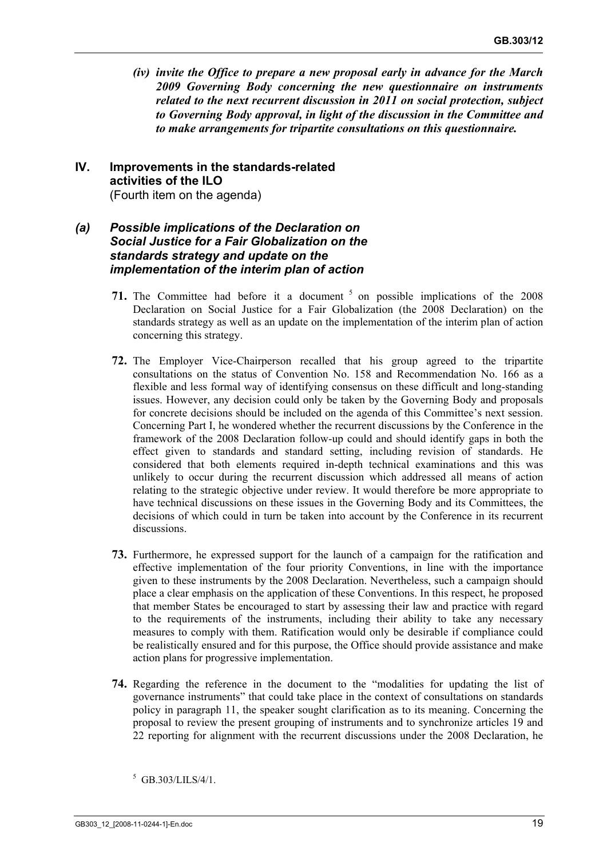*(iv) invite the Office to prepare a new proposal early in advance for the March 2009 Governing Body concerning the new questionnaire on instruments related to the next recurrent discussion in 2011 on social protection, subject to Governing Body approval, in light of the discussion in the Committee and to make arrangements for tripartite consultations on this questionnaire.* 

#### **IV. Improvements in the standards-related activities of the ILO**  (Fourth item on the agenda)

## *(a) Possible implications of the Declaration on Social Justice for a Fair Globalization on the standards strategy and update on the implementation of the interim plan of action*

- **71.** The Committee had before it a document  $\frac{5}{2}$  on possible implications of the 2008 Declaration on Social Justice for a Fair Globalization (the 2008 Declaration) on the standards strategy as well as an update on the implementation of the interim plan of action concerning this strategy.
- **72.** The Employer Vice-Chairperson recalled that his group agreed to the tripartite consultations on the status of Convention No. 158 and Recommendation No. 166 as a flexible and less formal way of identifying consensus on these difficult and long-standing issues. However, any decision could only be taken by the Governing Body and proposals for concrete decisions should be included on the agenda of this Committee's next session. Concerning Part I, he wondered whether the recurrent discussions by the Conference in the framework of the 2008 Declaration follow-up could and should identify gaps in both the effect given to standards and standard setting, including revision of standards. He considered that both elements required in-depth technical examinations and this was unlikely to occur during the recurrent discussion which addressed all means of action relating to the strategic objective under review. It would therefore be more appropriate to have technical discussions on these issues in the Governing Body and its Committees, the decisions of which could in turn be taken into account by the Conference in its recurrent discussions.
- **73.** Furthermore, he expressed support for the launch of a campaign for the ratification and effective implementation of the four priority Conventions, in line with the importance given to these instruments by the 2008 Declaration. Nevertheless, such a campaign should place a clear emphasis on the application of these Conventions. In this respect, he proposed that member States be encouraged to start by assessing their law and practice with regard to the requirements of the instruments, including their ability to take any necessary measures to comply with them. Ratification would only be desirable if compliance could be realistically ensured and for this purpose, the Office should provide assistance and make action plans for progressive implementation.
- **74.** Regarding the reference in the document to the "modalities for updating the list of governance instruments" that could take place in the context of consultations on standards policy in paragraph 11, the speaker sought clarification as to its meaning. Concerning the proposal to review the present grouping of instruments and to synchronize articles 19 and 22 reporting for alignment with the recurrent discussions under the 2008 Declaration, he

 $5$  GB.303/LILS/4/1.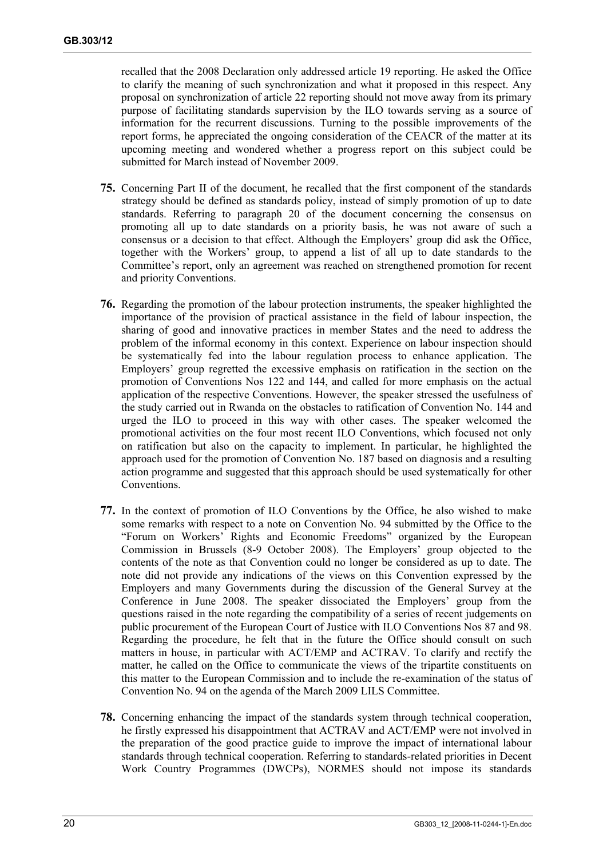recalled that the 2008 Declaration only addressed article 19 reporting. He asked the Office to clarify the meaning of such synchronization and what it proposed in this respect. Any proposal on synchronization of article 22 reporting should not move away from its primary purpose of facilitating standards supervision by the ILO towards serving as a source of information for the recurrent discussions. Turning to the possible improvements of the report forms, he appreciated the ongoing consideration of the CEACR of the matter at its upcoming meeting and wondered whether a progress report on this subject could be submitted for March instead of November 2009.

- **75.** Concerning Part II of the document, he recalled that the first component of the standards strategy should be defined as standards policy, instead of simply promotion of up to date standards. Referring to paragraph 20 of the document concerning the consensus on promoting all up to date standards on a priority basis, he was not aware of such a consensus or a decision to that effect. Although the Employers' group did ask the Office, together with the Workers' group, to append a list of all up to date standards to the Committee's report, only an agreement was reached on strengthened promotion for recent and priority Conventions.
- **76.** Regarding the promotion of the labour protection instruments, the speaker highlighted the importance of the provision of practical assistance in the field of labour inspection, the sharing of good and innovative practices in member States and the need to address the problem of the informal economy in this context. Experience on labour inspection should be systematically fed into the labour regulation process to enhance application. The Employers' group regretted the excessive emphasis on ratification in the section on the promotion of Conventions Nos 122 and 144, and called for more emphasis on the actual application of the respective Conventions. However, the speaker stressed the usefulness of the study carried out in Rwanda on the obstacles to ratification of Convention No. 144 and urged the ILO to proceed in this way with other cases. The speaker welcomed the promotional activities on the four most recent ILO Conventions, which focused not only on ratification but also on the capacity to implement. In particular, he highlighted the approach used for the promotion of Convention No. 187 based on diagnosis and a resulting action programme and suggested that this approach should be used systematically for other Conventions.
- **77.** In the context of promotion of ILO Conventions by the Office, he also wished to make some remarks with respect to a note on Convention No. 94 submitted by the Office to the "Forum on Workers' Rights and Economic Freedoms" organized by the European Commission in Brussels (8-9 October 2008). The Employers' group objected to the contents of the note as that Convention could no longer be considered as up to date. The note did not provide any indications of the views on this Convention expressed by the Employers and many Governments during the discussion of the General Survey at the Conference in June 2008. The speaker dissociated the Employers' group from the questions raised in the note regarding the compatibility of a series of recent judgements on public procurement of the European Court of Justice with ILO Conventions Nos 87 and 98. Regarding the procedure, he felt that in the future the Office should consult on such matters in house, in particular with ACT/EMP and ACTRAV. To clarify and rectify the matter, he called on the Office to communicate the views of the tripartite constituents on this matter to the European Commission and to include the re-examination of the status of Convention No. 94 on the agenda of the March 2009 LILS Committee.
- **78.** Concerning enhancing the impact of the standards system through technical cooperation, he firstly expressed his disappointment that ACTRAV and ACT/EMP were not involved in the preparation of the good practice guide to improve the impact of international labour standards through technical cooperation. Referring to standards-related priorities in Decent Work Country Programmes (DWCPs), NORMES should not impose its standards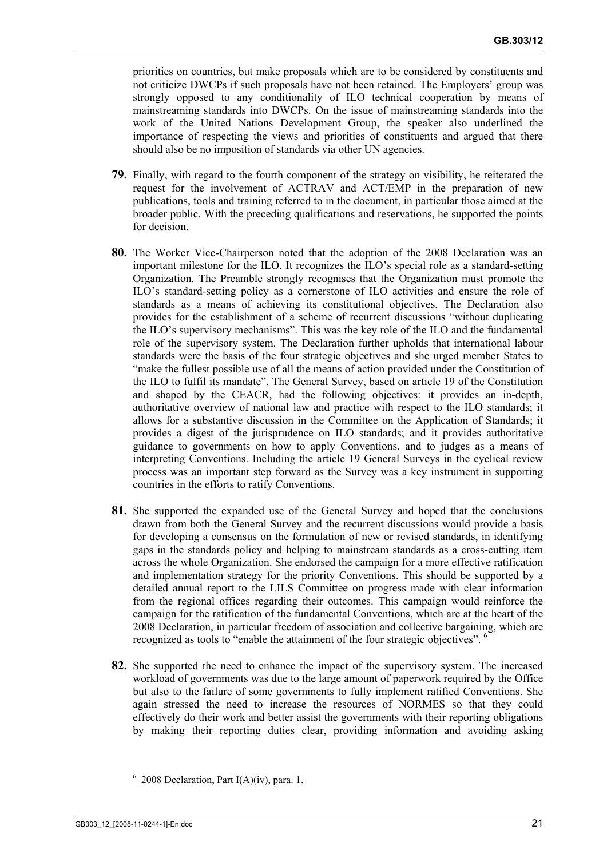priorities on countries, but make proposals which are to be considered by constituents and not criticize DWCPs if such proposals have not been retained. The Employers' group was strongly opposed to any conditionality of ILO technical cooperation by means of mainstreaming standards into DWCPs. On the issue of mainstreaming standards into the work of the United Nations Development Group, the speaker also underlined the importance of respecting the views and priorities of constituents and argued that there should also be no imposition of standards via other UN agencies.

- **79.** Finally, with regard to the fourth component of the strategy on visibility, he reiterated the request for the involvement of ACTRAV and ACT/EMP in the preparation of new publications, tools and training referred to in the document, in particular those aimed at the broader public. With the preceding qualifications and reservations, he supported the points for decision.
- **80.** The Worker Vice-Chairperson noted that the adoption of the 2008 Declaration was an important milestone for the ILO. It recognizes the ILO's special role as a standard-setting Organization. The Preamble strongly recognises that the Organization must promote the ILO's standard-setting policy as a cornerstone of ILO activities and ensure the role of standards as a means of achieving its constitutional objectives. The Declaration also provides for the establishment of a scheme of recurrent discussions "without duplicating the ILO's supervisory mechanisms". This was the key role of the ILO and the fundamental role of the supervisory system. The Declaration further upholds that international labour standards were the basis of the four strategic objectives and she urged member States to "make the fullest possible use of all the means of action provided under the Constitution of the ILO to fulfil its mandate". The General Survey, based on article 19 of the Constitution and shaped by the CEACR, had the following objectives: it provides an in-depth, authoritative overview of national law and practice with respect to the ILO standards; it allows for a substantive discussion in the Committee on the Application of Standards; it provides a digest of the jurisprudence on ILO standards; and it provides authoritative guidance to governments on how to apply Conventions, and to judges as a means of interpreting Conventions. Including the article 19 General Surveys in the cyclical review process was an important step forward as the Survey was a key instrument in supporting countries in the efforts to ratify Conventions.
- **81.** She supported the expanded use of the General Survey and hoped that the conclusions drawn from both the General Survey and the recurrent discussions would provide a basis for developing a consensus on the formulation of new or revised standards, in identifying gaps in the standards policy and helping to mainstream standards as a cross-cutting item across the whole Organization. She endorsed the campaign for a more effective ratification and implementation strategy for the priority Conventions. This should be supported by a detailed annual report to the LILS Committee on progress made with clear information from the regional offices regarding their outcomes. This campaign would reinforce the campaign for the ratification of the fundamental Conventions, which are at the heart of the 2008 Declaration, in particular freedom of association and collective bargaining, which are recognized as tools to "enable the attainment of the four strategic objectives". 6
- **82.** She supported the need to enhance the impact of the supervisory system. The increased workload of governments was due to the large amount of paperwork required by the Office but also to the failure of some governments to fully implement ratified Conventions. She again stressed the need to increase the resources of NORMES so that they could effectively do their work and better assist the governments with their reporting obligations by making their reporting duties clear, providing information and avoiding asking

 $6$  2008 Declaration, Part I(A)(iv), para. 1.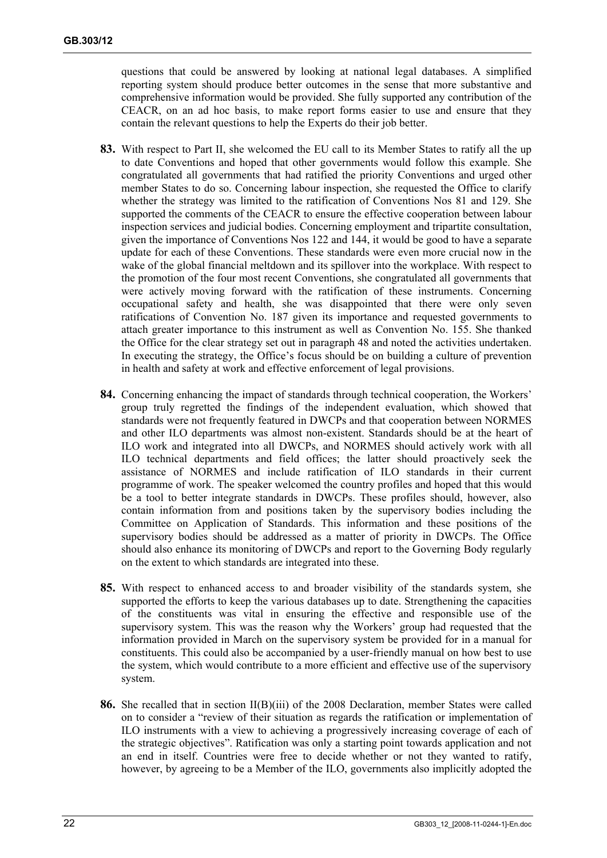questions that could be answered by looking at national legal databases. A simplified reporting system should produce better outcomes in the sense that more substantive and comprehensive information would be provided. She fully supported any contribution of the CEACR, on an ad hoc basis, to make report forms easier to use and ensure that they contain the relevant questions to help the Experts do their job better.

- **83.** With respect to Part II, she welcomed the EU call to its Member States to ratify all the up to date Conventions and hoped that other governments would follow this example. She congratulated all governments that had ratified the priority Conventions and urged other member States to do so. Concerning labour inspection, she requested the Office to clarify whether the strategy was limited to the ratification of Conventions Nos 81 and 129. She supported the comments of the CEACR to ensure the effective cooperation between labour inspection services and judicial bodies. Concerning employment and tripartite consultation, given the importance of Conventions Nos 122 and 144, it would be good to have a separate update for each of these Conventions. These standards were even more crucial now in the wake of the global financial meltdown and its spillover into the workplace. With respect to the promotion of the four most recent Conventions, she congratulated all governments that were actively moving forward with the ratification of these instruments. Concerning occupational safety and health, she was disappointed that there were only seven ratifications of Convention No. 187 given its importance and requested governments to attach greater importance to this instrument as well as Convention No. 155. She thanked the Office for the clear strategy set out in paragraph 48 and noted the activities undertaken. In executing the strategy, the Office's focus should be on building a culture of prevention in health and safety at work and effective enforcement of legal provisions.
- **84.** Concerning enhancing the impact of standards through technical cooperation, the Workers' group truly regretted the findings of the independent evaluation, which showed that standards were not frequently featured in DWCPs and that cooperation between NORMES and other ILO departments was almost non-existent. Standards should be at the heart of ILO work and integrated into all DWCPs, and NORMES should actively work with all ILO technical departments and field offices; the latter should proactively seek the assistance of NORMES and include ratification of ILO standards in their current programme of work. The speaker welcomed the country profiles and hoped that this would be a tool to better integrate standards in DWCPs. These profiles should, however, also contain information from and positions taken by the supervisory bodies including the Committee on Application of Standards. This information and these positions of the supervisory bodies should be addressed as a matter of priority in DWCPs. The Office should also enhance its monitoring of DWCPs and report to the Governing Body regularly on the extent to which standards are integrated into these.
- **85.** With respect to enhanced access to and broader visibility of the standards system, she supported the efforts to keep the various databases up to date. Strengthening the capacities of the constituents was vital in ensuring the effective and responsible use of the supervisory system. This was the reason why the Workers' group had requested that the information provided in March on the supervisory system be provided for in a manual for constituents. This could also be accompanied by a user-friendly manual on how best to use the system, which would contribute to a more efficient and effective use of the supervisory system.
- **86.** She recalled that in section II(B)(iii) of the 2008 Declaration, member States were called on to consider a "review of their situation as regards the ratification or implementation of ILO instruments with a view to achieving a progressively increasing coverage of each of the strategic objectives". Ratification was only a starting point towards application and not an end in itself. Countries were free to decide whether or not they wanted to ratify, however, by agreeing to be a Member of the ILO, governments also implicitly adopted the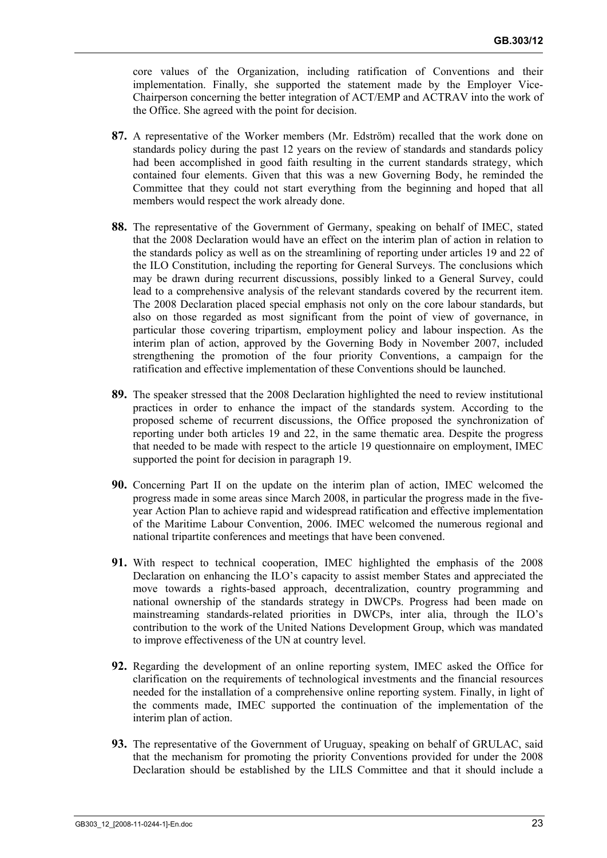core values of the Organization, including ratification of Conventions and their implementation. Finally, she supported the statement made by the Employer Vice-Chairperson concerning the better integration of ACT/EMP and ACTRAV into the work of the Office. She agreed with the point for decision.

- **87.** A representative of the Worker members (Mr. Edström) recalled that the work done on standards policy during the past 12 years on the review of standards and standards policy had been accomplished in good faith resulting in the current standards strategy, which contained four elements. Given that this was a new Governing Body, he reminded the Committee that they could not start everything from the beginning and hoped that all members would respect the work already done.
- **88.** The representative of the Government of Germany, speaking on behalf of IMEC, stated that the 2008 Declaration would have an effect on the interim plan of action in relation to the standards policy as well as on the streamlining of reporting under articles 19 and 22 of the ILO Constitution, including the reporting for General Surveys. The conclusions which may be drawn during recurrent discussions, possibly linked to a General Survey, could lead to a comprehensive analysis of the relevant standards covered by the recurrent item. The 2008 Declaration placed special emphasis not only on the core labour standards, but also on those regarded as most significant from the point of view of governance, in particular those covering tripartism, employment policy and labour inspection. As the interim plan of action, approved by the Governing Body in November 2007, included strengthening the promotion of the four priority Conventions, a campaign for the ratification and effective implementation of these Conventions should be launched.
- **89.** The speaker stressed that the 2008 Declaration highlighted the need to review institutional practices in order to enhance the impact of the standards system. According to the proposed scheme of recurrent discussions, the Office proposed the synchronization of reporting under both articles 19 and 22, in the same thematic area. Despite the progress that needed to be made with respect to the article 19 questionnaire on employment, IMEC supported the point for decision in paragraph 19.
- **90.** Concerning Part II on the update on the interim plan of action, IMEC welcomed the progress made in some areas since March 2008, in particular the progress made in the fiveyear Action Plan to achieve rapid and widespread ratification and effective implementation of the Maritime Labour Convention, 2006. IMEC welcomed the numerous regional and national tripartite conferences and meetings that have been convened.
- **91.** With respect to technical cooperation, IMEC highlighted the emphasis of the 2008 Declaration on enhancing the ILO's capacity to assist member States and appreciated the move towards a rights-based approach, decentralization, country programming and national ownership of the standards strategy in DWCPs. Progress had been made on mainstreaming standards-related priorities in DWCPs, inter alia, through the ILO's contribution to the work of the United Nations Development Group, which was mandated to improve effectiveness of the UN at country level.
- **92.** Regarding the development of an online reporting system, IMEC asked the Office for clarification on the requirements of technological investments and the financial resources needed for the installation of a comprehensive online reporting system. Finally, in light of the comments made, IMEC supported the continuation of the implementation of the interim plan of action.
- **93.** The representative of the Government of Uruguay, speaking on behalf of GRULAC, said that the mechanism for promoting the priority Conventions provided for under the 2008 Declaration should be established by the LILS Committee and that it should include a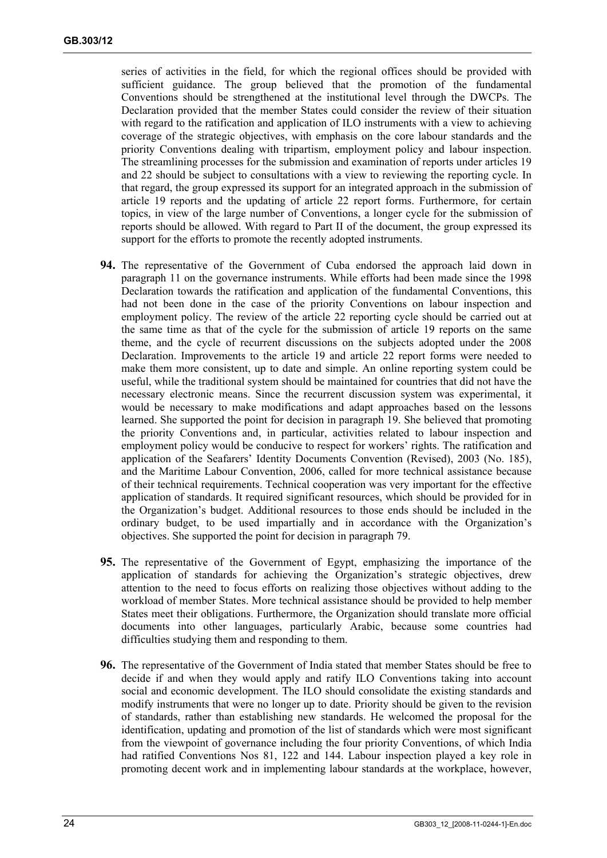series of activities in the field, for which the regional offices should be provided with sufficient guidance. The group believed that the promotion of the fundamental Conventions should be strengthened at the institutional level through the DWCPs. The Declaration provided that the member States could consider the review of their situation with regard to the ratification and application of ILO instruments with a view to achieving coverage of the strategic objectives, with emphasis on the core labour standards and the priority Conventions dealing with tripartism, employment policy and labour inspection. The streamlining processes for the submission and examination of reports under articles 19 and 22 should be subject to consultations with a view to reviewing the reporting cycle. In that regard, the group expressed its support for an integrated approach in the submission of article 19 reports and the updating of article 22 report forms. Furthermore, for certain topics, in view of the large number of Conventions, a longer cycle for the submission of reports should be allowed. With regard to Part II of the document, the group expressed its support for the efforts to promote the recently adopted instruments.

- **94.** The representative of the Government of Cuba endorsed the approach laid down in paragraph 11 on the governance instruments. While efforts had been made since the 1998 Declaration towards the ratification and application of the fundamental Conventions, this had not been done in the case of the priority Conventions on labour inspection and employment policy. The review of the article 22 reporting cycle should be carried out at the same time as that of the cycle for the submission of article 19 reports on the same theme, and the cycle of recurrent discussions on the subjects adopted under the 2008 Declaration. Improvements to the article 19 and article 22 report forms were needed to make them more consistent, up to date and simple. An online reporting system could be useful, while the traditional system should be maintained for countries that did not have the necessary electronic means. Since the recurrent discussion system was experimental, it would be necessary to make modifications and adapt approaches based on the lessons learned. She supported the point for decision in paragraph 19. She believed that promoting the priority Conventions and, in particular, activities related to labour inspection and employment policy would be conducive to respect for workers' rights. The ratification and application of the Seafarers' Identity Documents Convention (Revised), 2003 (No. 185), and the Maritime Labour Convention, 2006, called for more technical assistance because of their technical requirements. Technical cooperation was very important for the effective application of standards. It required significant resources, which should be provided for in the Organization's budget. Additional resources to those ends should be included in the ordinary budget, to be used impartially and in accordance with the Organization's objectives. She supported the point for decision in paragraph 79.
- **95.** The representative of the Government of Egypt, emphasizing the importance of the application of standards for achieving the Organization's strategic objectives, drew attention to the need to focus efforts on realizing those objectives without adding to the workload of member States. More technical assistance should be provided to help member States meet their obligations. Furthermore, the Organization should translate more official documents into other languages, particularly Arabic, because some countries had difficulties studying them and responding to them.
- **96.** The representative of the Government of India stated that member States should be free to decide if and when they would apply and ratify ILO Conventions taking into account social and economic development. The ILO should consolidate the existing standards and modify instruments that were no longer up to date. Priority should be given to the revision of standards, rather than establishing new standards. He welcomed the proposal for the identification, updating and promotion of the list of standards which were most significant from the viewpoint of governance including the four priority Conventions, of which India had ratified Conventions Nos 81, 122 and 144. Labour inspection played a key role in promoting decent work and in implementing labour standards at the workplace, however,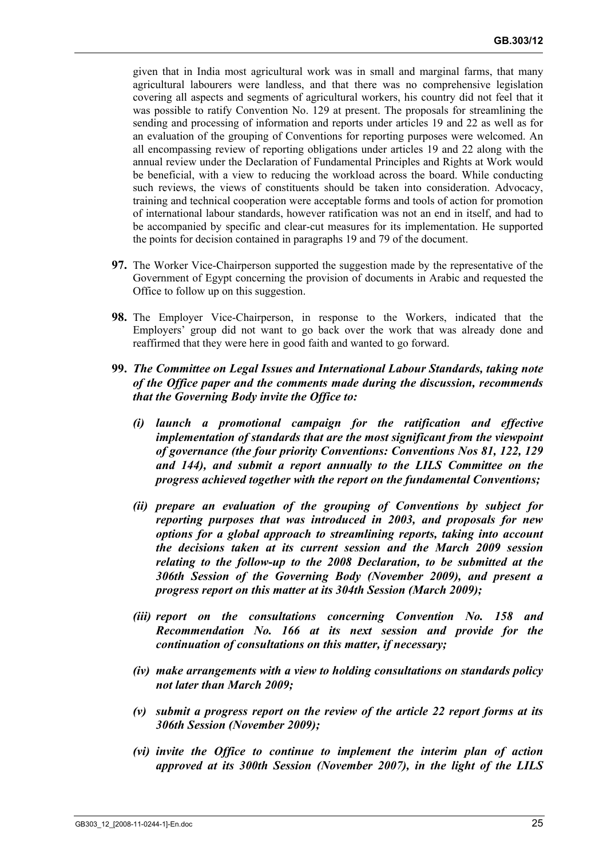given that in India most agricultural work was in small and marginal farms, that many agricultural labourers were landless, and that there was no comprehensive legislation covering all aspects and segments of agricultural workers, his country did not feel that it was possible to ratify Convention No. 129 at present. The proposals for streamlining the sending and processing of information and reports under articles 19 and 22 as well as for an evaluation of the grouping of Conventions for reporting purposes were welcomed. An all encompassing review of reporting obligations under articles 19 and 22 along with the annual review under the Declaration of Fundamental Principles and Rights at Work would be beneficial, with a view to reducing the workload across the board. While conducting such reviews, the views of constituents should be taken into consideration. Advocacy, training and technical cooperation were acceptable forms and tools of action for promotion of international labour standards, however ratification was not an end in itself, and had to be accompanied by specific and clear-cut measures for its implementation. He supported the points for decision contained in paragraphs 19 and 79 of the document.

- **97.** The Worker Vice-Chairperson supported the suggestion made by the representative of the Government of Egypt concerning the provision of documents in Arabic and requested the Office to follow up on this suggestion.
- **98.** The Employer Vice-Chairperson, in response to the Workers, indicated that the Employers' group did not want to go back over the work that was already done and reaffirmed that they were here in good faith and wanted to go forward.
- **99.** *The Committee on Legal Issues and International Labour Standards, taking note of the Office paper and the comments made during the discussion, recommends that the Governing Body invite the Office to:* 
	- *(i) launch a promotional campaign for the ratification and effective implementation of standards that are the most significant from the viewpoint of governance (the four priority Conventions: Conventions Nos 81, 122, 129 and 144), and submit a report annually to the LILS Committee on the progress achieved together with the report on the fundamental Conventions;*
	- *(ii) prepare an evaluation of the grouping of Conventions by subject for reporting purposes that was introduced in 2003, and proposals for new options for a global approach to streamlining reports, taking into account the decisions taken at its current session and the March 2009 session relating to the follow-up to the 2008 Declaration, to be submitted at the 306th Session of the Governing Body (November 2009), and present a progress report on this matter at its 304th Session (March 2009);*
	- *(iii) report on the consultations concerning Convention No. 158 and Recommendation No. 166 at its next session and provide for the continuation of consultations on this matter, if necessary;*
	- *(iv) make arrangements with a view to holding consultations on standards policy not later than March 2009;*
	- *(v) submit a progress report on the review of the article 22 report forms at its 306th Session (November 2009);*
	- *(vi) invite the Office to continue to implement the interim plan of action approved at its 300th Session (November 2007), in the light of the LILS*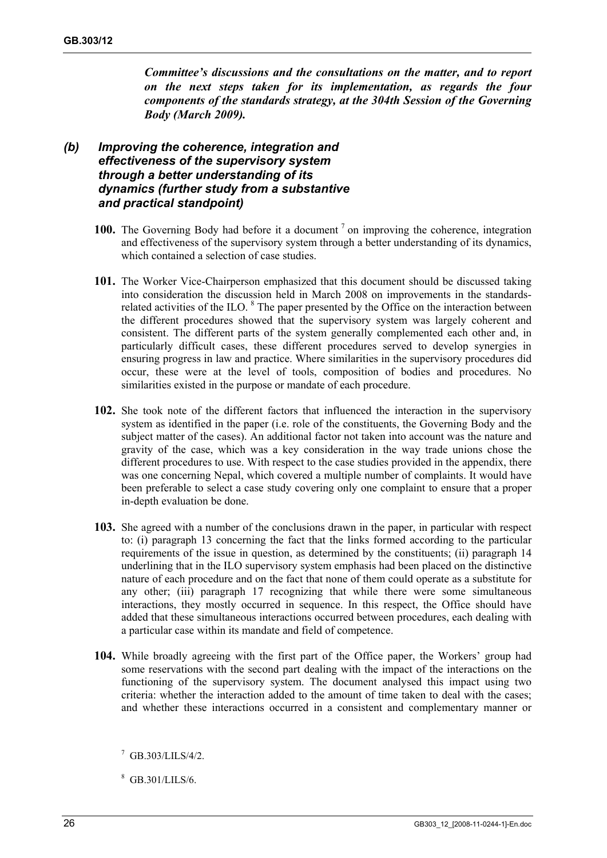*Committee's discussions and the consultations on the matter, and to report on the next steps taken for its implementation, as regards the four components of the standards strategy, at the 304th Session of the Governing Body (March 2009).* 

### *(b) Improving the coherence, integration and effectiveness of the supervisory system through a better understanding of its dynamics (further study from a substantive and practical standpoint)*

- 100. The Governing Body had before it a document <sup>7</sup> on improving the coherence, integration and effectiveness of the supervisory system through a better understanding of its dynamics, which contained a selection of case studies.
- **101.** The Worker Vice-Chairperson emphasized that this document should be discussed taking into consideration the discussion held in March 2008 on improvements in the standardsrelated activities of the ILO.  $8$  The paper presented by the Office on the interaction between the different procedures showed that the supervisory system was largely coherent and consistent. The different parts of the system generally complemented each other and, in particularly difficult cases, these different procedures served to develop synergies in ensuring progress in law and practice. Where similarities in the supervisory procedures did occur, these were at the level of tools, composition of bodies and procedures. No similarities existed in the purpose or mandate of each procedure.
- **102.** She took note of the different factors that influenced the interaction in the supervisory system as identified in the paper (i.e. role of the constituents, the Governing Body and the subject matter of the cases). An additional factor not taken into account was the nature and gravity of the case, which was a key consideration in the way trade unions chose the different procedures to use. With respect to the case studies provided in the appendix, there was one concerning Nepal, which covered a multiple number of complaints. It would have been preferable to select a case study covering only one complaint to ensure that a proper in-depth evaluation be done.
- **103.** She agreed with a number of the conclusions drawn in the paper, in particular with respect to: (i) paragraph 13 concerning the fact that the links formed according to the particular requirements of the issue in question, as determined by the constituents; (ii) paragraph 14 underlining that in the ILO supervisory system emphasis had been placed on the distinctive nature of each procedure and on the fact that none of them could operate as a substitute for any other; (iii) paragraph 17 recognizing that while there were some simultaneous interactions, they mostly occurred in sequence. In this respect, the Office should have added that these simultaneous interactions occurred between procedures, each dealing with a particular case within its mandate and field of competence.
- **104.** While broadly agreeing with the first part of the Office paper, the Workers' group had some reservations with the second part dealing with the impact of the interactions on the functioning of the supervisory system. The document analysed this impact using two criteria: whether the interaction added to the amount of time taken to deal with the cases; and whether these interactions occurred in a consistent and complementary manner or

<sup>8</sup> GB.301/LILS/6.

 $^7$  GB 303/LILS/4/2.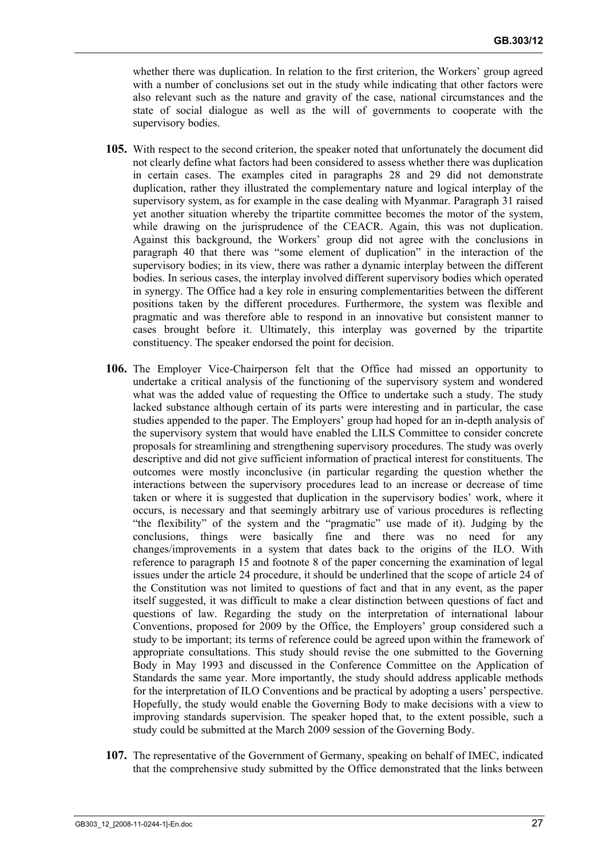whether there was duplication. In relation to the first criterion, the Workers' group agreed with a number of conclusions set out in the study while indicating that other factors were also relevant such as the nature and gravity of the case, national circumstances and the state of social dialogue as well as the will of governments to cooperate with the supervisory bodies.

- **105.** With respect to the second criterion, the speaker noted that unfortunately the document did not clearly define what factors had been considered to assess whether there was duplication in certain cases. The examples cited in paragraphs 28 and 29 did not demonstrate duplication, rather they illustrated the complementary nature and logical interplay of the supervisory system, as for example in the case dealing with Myanmar. Paragraph 31 raised yet another situation whereby the tripartite committee becomes the motor of the system, while drawing on the jurisprudence of the CEACR. Again, this was not duplication. Against this background, the Workers' group did not agree with the conclusions in paragraph 40 that there was "some element of duplication" in the interaction of the supervisory bodies; in its view, there was rather a dynamic interplay between the different bodies. In serious cases, the interplay involved different supervisory bodies which operated in synergy. The Office had a key role in ensuring complementarities between the different positions taken by the different procedures. Furthermore, the system was flexible and pragmatic and was therefore able to respond in an innovative but consistent manner to cases brought before it. Ultimately, this interplay was governed by the tripartite constituency. The speaker endorsed the point for decision.
- **106.** The Employer Vice-Chairperson felt that the Office had missed an opportunity to undertake a critical analysis of the functioning of the supervisory system and wondered what was the added value of requesting the Office to undertake such a study. The study lacked substance although certain of its parts were interesting and in particular, the case studies appended to the paper. The Employers' group had hoped for an in-depth analysis of the supervisory system that would have enabled the LILS Committee to consider concrete proposals for streamlining and strengthening supervisory procedures. The study was overly descriptive and did not give sufficient information of practical interest for constituents. The outcomes were mostly inconclusive (in particular regarding the question whether the interactions between the supervisory procedures lead to an increase or decrease of time taken or where it is suggested that duplication in the supervisory bodies' work, where it occurs, is necessary and that seemingly arbitrary use of various procedures is reflecting "the flexibility" of the system and the "pragmatic" use made of it). Judging by the conclusions, things were basically fine and there was no need for any changes/improvements in a system that dates back to the origins of the ILO. With reference to paragraph 15 and footnote 8 of the paper concerning the examination of legal issues under the article 24 procedure, it should be underlined that the scope of article 24 of the Constitution was not limited to questions of fact and that in any event, as the paper itself suggested, it was difficult to make a clear distinction between questions of fact and questions of law. Regarding the study on the interpretation of international labour Conventions, proposed for 2009 by the Office, the Employers' group considered such a study to be important; its terms of reference could be agreed upon within the framework of appropriate consultations. This study should revise the one submitted to the Governing Body in May 1993 and discussed in the Conference Committee on the Application of Standards the same year. More importantly, the study should address applicable methods for the interpretation of ILO Conventions and be practical by adopting a users' perspective. Hopefully, the study would enable the Governing Body to make decisions with a view to improving standards supervision. The speaker hoped that, to the extent possible, such a study could be submitted at the March 2009 session of the Governing Body.
- **107.** The representative of the Government of Germany, speaking on behalf of IMEC, indicated that the comprehensive study submitted by the Office demonstrated that the links between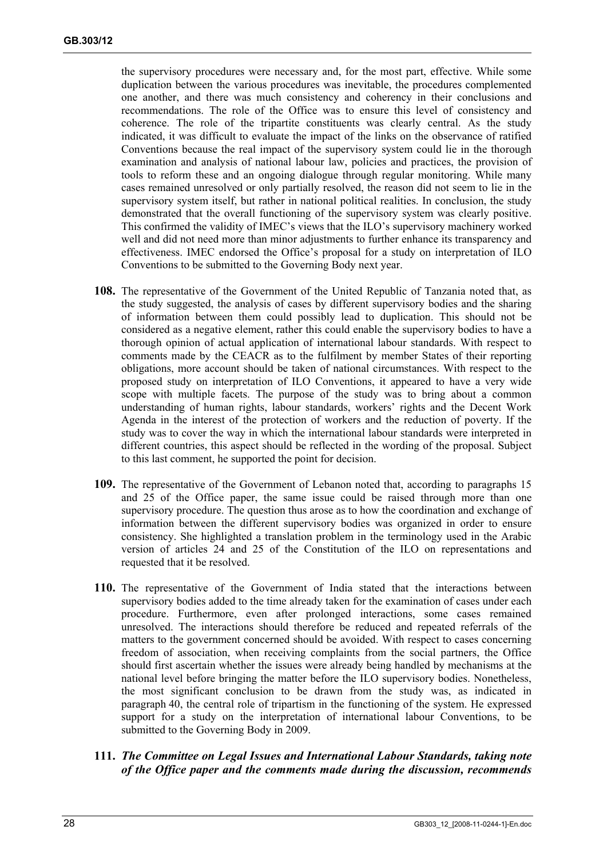the supervisory procedures were necessary and, for the most part, effective. While some duplication between the various procedures was inevitable, the procedures complemented one another, and there was much consistency and coherency in their conclusions and recommendations. The role of the Office was to ensure this level of consistency and coherence. The role of the tripartite constituents was clearly central. As the study indicated, it was difficult to evaluate the impact of the links on the observance of ratified Conventions because the real impact of the supervisory system could lie in the thorough examination and analysis of national labour law, policies and practices, the provision of tools to reform these and an ongoing dialogue through regular monitoring. While many cases remained unresolved or only partially resolved, the reason did not seem to lie in the supervisory system itself, but rather in national political realities. In conclusion, the study demonstrated that the overall functioning of the supervisory system was clearly positive. This confirmed the validity of IMEC's views that the ILO's supervisory machinery worked well and did not need more than minor adjustments to further enhance its transparency and effectiveness. IMEC endorsed the Office's proposal for a study on interpretation of ILO Conventions to be submitted to the Governing Body next year.

- **108.** The representative of the Government of the United Republic of Tanzania noted that, as the study suggested, the analysis of cases by different supervisory bodies and the sharing of information between them could possibly lead to duplication. This should not be considered as a negative element, rather this could enable the supervisory bodies to have a thorough opinion of actual application of international labour standards. With respect to comments made by the CEACR as to the fulfilment by member States of their reporting obligations, more account should be taken of national circumstances. With respect to the proposed study on interpretation of ILO Conventions, it appeared to have a very wide scope with multiple facets. The purpose of the study was to bring about a common understanding of human rights, labour standards, workers' rights and the Decent Work Agenda in the interest of the protection of workers and the reduction of poverty. If the study was to cover the way in which the international labour standards were interpreted in different countries, this aspect should be reflected in the wording of the proposal. Subject to this last comment, he supported the point for decision.
- **109.** The representative of the Government of Lebanon noted that, according to paragraphs 15 and 25 of the Office paper, the same issue could be raised through more than one supervisory procedure. The question thus arose as to how the coordination and exchange of information between the different supervisory bodies was organized in order to ensure consistency. She highlighted a translation problem in the terminology used in the Arabic version of articles 24 and 25 of the Constitution of the ILO on representations and requested that it be resolved.
- **110.** The representative of the Government of India stated that the interactions between supervisory bodies added to the time already taken for the examination of cases under each procedure. Furthermore, even after prolonged interactions, some cases remained unresolved. The interactions should therefore be reduced and repeated referrals of the matters to the government concerned should be avoided. With respect to cases concerning freedom of association, when receiving complaints from the social partners, the Office should first ascertain whether the issues were already being handled by mechanisms at the national level before bringing the matter before the ILO supervisory bodies. Nonetheless, the most significant conclusion to be drawn from the study was, as indicated in paragraph 40, the central role of tripartism in the functioning of the system. He expressed support for a study on the interpretation of international labour Conventions, to be submitted to the Governing Body in 2009.
- **111.** *The Committee on Legal Issues and International Labour Standards, taking note of the Office paper and the comments made during the discussion, recommends*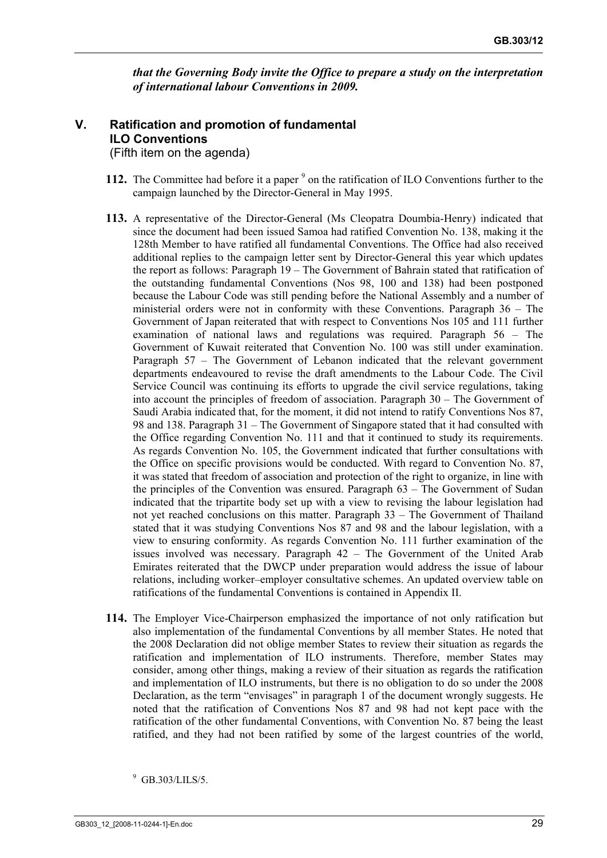*that the Governing Body invite the Office to prepare a study on the interpretation of international labour Conventions in 2009.* 

#### **V. Ratification and promotion of fundamental ILO Conventions**  (Fifth item on the agenda)

- 112. The Committee had before it a paper <sup>9</sup> on the ratification of ILO Conventions further to the campaign launched by the Director-General in May 1995.
- **113.** A representative of the Director-General (Ms Cleopatra Doumbia-Henry) indicated that since the document had been issued Samoa had ratified Convention No. 138, making it the 128th Member to have ratified all fundamental Conventions. The Office had also received additional replies to the campaign letter sent by Director-General this year which updates the report as follows: Paragraph 19 – The Government of Bahrain stated that ratification of the outstanding fundamental Conventions (Nos 98, 100 and 138) had been postponed because the Labour Code was still pending before the National Assembly and a number of ministerial orders were not in conformity with these Conventions. Paragraph 36 – The Government of Japan reiterated that with respect to Conventions Nos 105 and 111 further examination of national laws and regulations was required. Paragraph 56 – The Government of Kuwait reiterated that Convention No. 100 was still under examination. Paragraph 57 – The Government of Lebanon indicated that the relevant government departments endeavoured to revise the draft amendments to the Labour Code. The Civil Service Council was continuing its efforts to upgrade the civil service regulations, taking into account the principles of freedom of association. Paragraph 30 – The Government of Saudi Arabia indicated that, for the moment, it did not intend to ratify Conventions Nos 87, 98 and 138. Paragraph 31 – The Government of Singapore stated that it had consulted with the Office regarding Convention No. 111 and that it continued to study its requirements. As regards Convention No. 105, the Government indicated that further consultations with the Office on specific provisions would be conducted. With regard to Convention No. 87, it was stated that freedom of association and protection of the right to organize, in line with the principles of the Convention was ensured. Paragraph 63 – The Government of Sudan indicated that the tripartite body set up with a view to revising the labour legislation had not yet reached conclusions on this matter. Paragraph 33 – The Government of Thailand stated that it was studying Conventions Nos 87 and 98 and the labour legislation, with a view to ensuring conformity. As regards Convention No. 111 further examination of the issues involved was necessary. Paragraph 42 – The Government of the United Arab Emirates reiterated that the DWCP under preparation would address the issue of labour relations, including worker–employer consultative schemes. An updated overview table on ratifications of the fundamental Conventions is contained in Appendix II.
- **114.** The Employer Vice-Chairperson emphasized the importance of not only ratification but also implementation of the fundamental Conventions by all member States. He noted that the 2008 Declaration did not oblige member States to review their situation as regards the ratification and implementation of ILO instruments. Therefore, member States may consider, among other things, making a review of their situation as regards the ratification and implementation of ILO instruments, but there is no obligation to do so under the 2008 Declaration, as the term "envisages" in paragraph 1 of the document wrongly suggests. He noted that the ratification of Conventions Nos 87 and 98 had not kept pace with the ratification of the other fundamental Conventions, with Convention No. 87 being the least ratified, and they had not been ratified by some of the largest countries of the world,

<sup>9</sup> GB.303/LILS/5.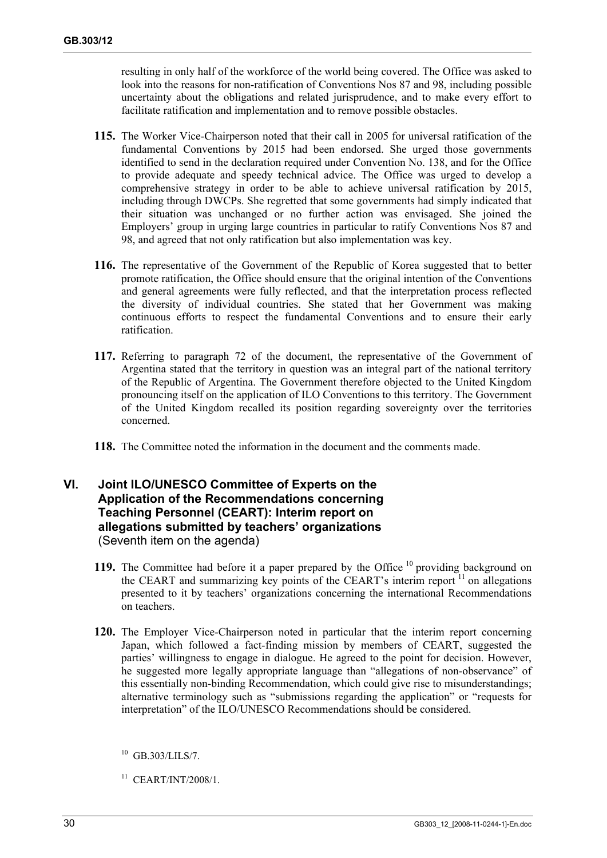resulting in only half of the workforce of the world being covered. The Office was asked to look into the reasons for non-ratification of Conventions Nos 87 and 98, including possible uncertainty about the obligations and related jurisprudence, and to make every effort to facilitate ratification and implementation and to remove possible obstacles.

- **115.** The Worker Vice-Chairperson noted that their call in 2005 for universal ratification of the fundamental Conventions by 2015 had been endorsed. She urged those governments identified to send in the declaration required under Convention No. 138, and for the Office to provide adequate and speedy technical advice. The Office was urged to develop a comprehensive strategy in order to be able to achieve universal ratification by 2015, including through DWCPs. She regretted that some governments had simply indicated that their situation was unchanged or no further action was envisaged. She joined the Employers' group in urging large countries in particular to ratify Conventions Nos 87 and 98, and agreed that not only ratification but also implementation was key.
- **116.** The representative of the Government of the Republic of Korea suggested that to better promote ratification, the Office should ensure that the original intention of the Conventions and general agreements were fully reflected, and that the interpretation process reflected the diversity of individual countries. She stated that her Government was making continuous efforts to respect the fundamental Conventions and to ensure their early ratification.
- **117.** Referring to paragraph 72 of the document, the representative of the Government of Argentina stated that the territory in question was an integral part of the national territory of the Republic of Argentina. The Government therefore objected to the United Kingdom pronouncing itself on the application of ILO Conventions to this territory. The Government of the United Kingdom recalled its position regarding sovereignty over the territories concerned.
- **118.** The Committee noted the information in the document and the comments made.

## **VI. Joint ILO/UNESCO Committee of Experts on the Application of the Recommendations concerning Teaching Personnel (CEART): Interim report on allegations submitted by teachers' organizations**  (Seventh item on the agenda)

- 119. The Committee had before it a paper prepared by the Office<sup>10</sup> providing background on the CEART and summarizing key points of the CEART's interim report  $11$  on allegations presented to it by teachers' organizations concerning the international Recommendations on teachers.
- **120.** The Employer Vice-Chairperson noted in particular that the interim report concerning Japan, which followed a fact-finding mission by members of CEART, suggested the parties' willingness to engage in dialogue. He agreed to the point for decision. However, he suggested more legally appropriate language than "allegations of non-observance" of this essentially non-binding Recommendation, which could give rise to misunderstandings; alternative terminology such as "submissions regarding the application" or "requests for interpretation" of the ILO/UNESCO Recommendations should be considered.

<sup>11</sup> CEART/INT/2008/1.

 $^{10}$  GB.303/LILS/7.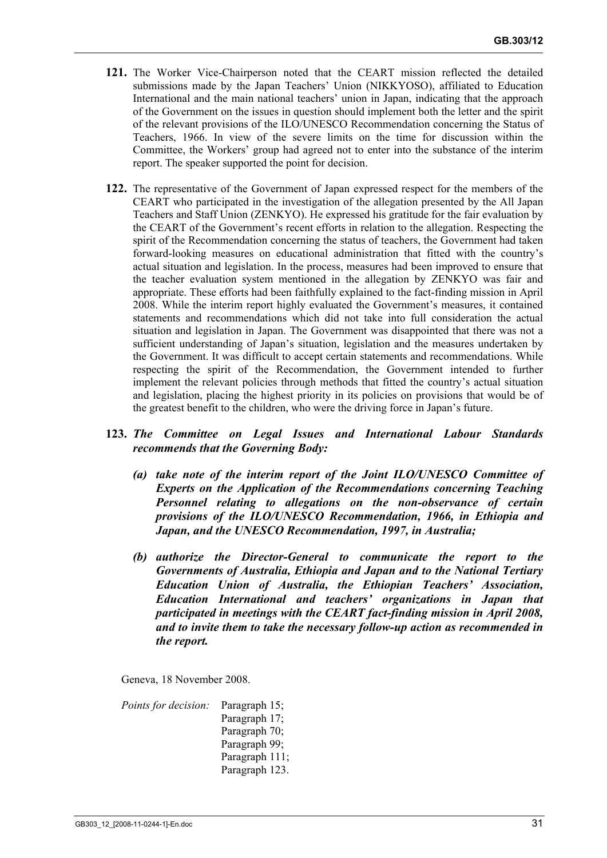- **121.** The Worker Vice-Chairperson noted that the CEART mission reflected the detailed submissions made by the Japan Teachers' Union (NIKKYOSO), affiliated to Education International and the main national teachers' union in Japan, indicating that the approach of the Government on the issues in question should implement both the letter and the spirit of the relevant provisions of the ILO/UNESCO Recommendation concerning the Status of Teachers, 1966. In view of the severe limits on the time for discussion within the Committee, the Workers' group had agreed not to enter into the substance of the interim report. The speaker supported the point for decision.
- **122.** The representative of the Government of Japan expressed respect for the members of the CEART who participated in the investigation of the allegation presented by the All Japan Teachers and Staff Union (ZENKYO). He expressed his gratitude for the fair evaluation by the CEART of the Government's recent efforts in relation to the allegation. Respecting the spirit of the Recommendation concerning the status of teachers, the Government had taken forward-looking measures on educational administration that fitted with the country's actual situation and legislation. In the process, measures had been improved to ensure that the teacher evaluation system mentioned in the allegation by ZENKYO was fair and appropriate. These efforts had been faithfully explained to the fact-finding mission in April 2008. While the interim report highly evaluated the Government's measures, it contained statements and recommendations which did not take into full consideration the actual situation and legislation in Japan. The Government was disappointed that there was not a sufficient understanding of Japan's situation, legislation and the measures undertaken by the Government. It was difficult to accept certain statements and recommendations. While respecting the spirit of the Recommendation, the Government intended to further implement the relevant policies through methods that fitted the country's actual situation and legislation, placing the highest priority in its policies on provisions that would be of the greatest benefit to the children, who were the driving force in Japan's future.

#### **123.** *The Committee on Legal Issues and International Labour Standards recommends that the Governing Body:*

- *(a) take note of the interim report of the Joint ILO/UNESCO Committee of Experts on the Application of the Recommendations concerning Teaching Personnel relating to allegations on the non-observance of certain provisions of the ILO/UNESCO Recommendation, 1966, in Ethiopia and Japan, and the UNESCO Recommendation, 1997, in Australia;*
- *(b) authorize the Director-General to communicate the report to the Governments of Australia, Ethiopia and Japan and to the National Tertiary Education Union of Australia, the Ethiopian Teachers' Association, Education International and teachers' organizations in Japan that participated in meetings with the CEART fact-finding mission in April 2008, and to invite them to take the necessary follow-up action as recommended in the report.*

Geneva, 18 November 2008.

*Points for decision:* Paragraph 15; Paragraph 17; Paragraph 70; Paragraph 99; Paragraph 111; Paragraph 123.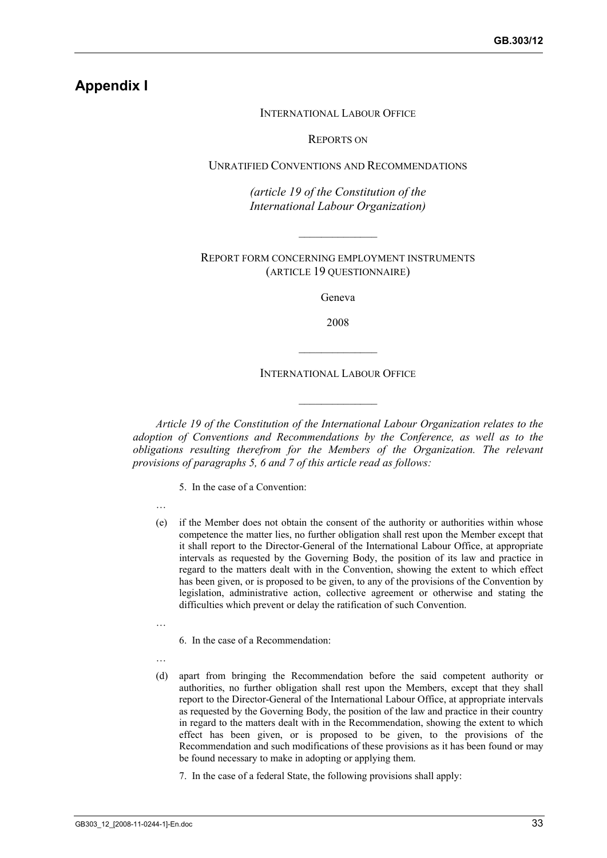## **Appendix I**

#### INTERNATIONAL LABOUR OFFICE

REPORTS ON

UNRATIFIED CONVENTIONS AND RECOMMENDATIONS

*(article 19 of the Constitution of the International Labour Organization)* 

REPORT FORM CONCERNING EMPLOYMENT INSTRUMENTS (ARTICLE 19 QUESTIONNAIRE)

 $\frac{1}{2}$  ,  $\frac{1}{2}$  ,  $\frac{1}{2}$  ,  $\frac{1}{2}$  ,  $\frac{1}{2}$  ,  $\frac{1}{2}$  ,  $\frac{1}{2}$  ,  $\frac{1}{2}$ 

Geneva

2008

INTERNATIONAL LABOUR OFFICE

 $\mathcal{L}_\text{max}$ 

 $\frac{1}{2}$  ,  $\frac{1}{2}$  ,  $\frac{1}{2}$  ,  $\frac{1}{2}$  ,  $\frac{1}{2}$  ,  $\frac{1}{2}$  ,  $\frac{1}{2}$  ,  $\frac{1}{2}$ 

*Article 19 of the Constitution of the International Labour Organization relates to the adoption of Conventions and Recommendations by the Conference, as well as to the obligations resulting therefrom for the Members of the Organization. The relevant provisions of paragraphs 5, 6 and 7 of this article read as follows:* 

5. In the case of a Convention:

- …
- (e) if the Member does not obtain the consent of the authority or authorities within whose competence the matter lies, no further obligation shall rest upon the Member except that it shall report to the Director-General of the International Labour Office, at appropriate intervals as requested by the Governing Body, the position of its law and practice in regard to the matters dealt with in the Convention, showing the extent to which effect has been given, or is proposed to be given, to any of the provisions of the Convention by legislation, administrative action, collective agreement or otherwise and stating the difficulties which prevent or delay the ratification of such Convention.
- …

6. In the case of a Recommendation:

- …
- (d) apart from bringing the Recommendation before the said competent authority or authorities, no further obligation shall rest upon the Members, except that they shall report to the Director-General of the International Labour Office, at appropriate intervals as requested by the Governing Body, the position of the law and practice in their country in regard to the matters dealt with in the Recommendation, showing the extent to which effect has been given, or is proposed to be given, to the provisions of the Recommendation and such modifications of these provisions as it has been found or may be found necessary to make in adopting or applying them.
	- 7. In the case of a federal State, the following provisions shall apply: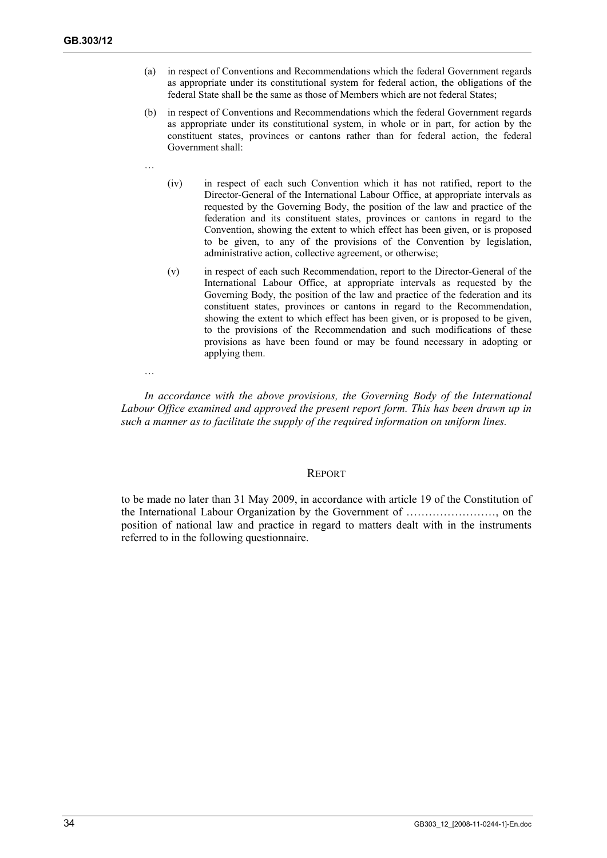- (a) in respect of Conventions and Recommendations which the federal Government regards as appropriate under its constitutional system for federal action, the obligations of the federal State shall be the same as those of Members which are not federal States;
- (b) in respect of Conventions and Recommendations which the federal Government regards as appropriate under its constitutional system, in whole or in part, for action by the constituent states, provinces or cantons rather than for federal action, the federal Government shall:
- …

…

- (iv) in respect of each such Convention which it has not ratified, report to the Director-General of the International Labour Office, at appropriate intervals as requested by the Governing Body, the position of the law and practice of the federation and its constituent states, provinces or cantons in regard to the Convention, showing the extent to which effect has been given, or is proposed to be given, to any of the provisions of the Convention by legislation, administrative action, collective agreement, or otherwise;
- (v) in respect of each such Recommendation, report to the Director-General of the International Labour Office, at appropriate intervals as requested by the Governing Body, the position of the law and practice of the federation and its constituent states, provinces or cantons in regard to the Recommendation, showing the extent to which effect has been given, or is proposed to be given, to the provisions of the Recommendation and such modifications of these provisions as have been found or may be found necessary in adopting or applying them.

*In accordance with the above provisions, the Governing Body of the International Labour Office examined and approved the present report form. This has been drawn up in such a manner as to facilitate the supply of the required information on uniform lines.* 

#### REPORT

to be made no later than 31 May 2009, in accordance with article 19 of the Constitution of the International Labour Organization by the Government of ……………………, on the position of national law and practice in regard to matters dealt with in the instruments referred to in the following questionnaire.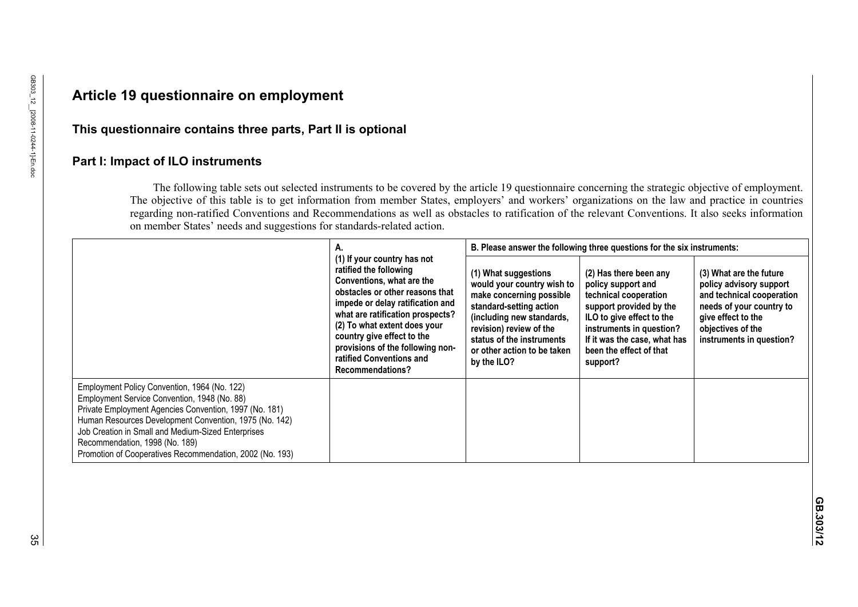# **Article 19 questionnaire on employment**

## **This questionnaire contains three parts, Part II is optional**

## **Part I: Impact of ILO instruments**

The following table sets out selected instruments to be covered by the article 19 questionnaire concerning the strategic objective of employment. The objective of this table is to get information from member States, employers' and workers' organizations on the law and practice in countries regarding non-ratified Conventions and Recommendations as well as obstacles to ratification of the relevant Conventions. It also seeks information on member States' needs and suggestions for standards-related action.

|                                                                                                                                                                                                                                                                                                                                                                      | Α.                                                                                                                                                                                                                                                                                                                                              | B. Please answer the following three questions for the six instruments:                                                                                                                                                                      |                                                                                                                                                                                                                                  |                                                                                                                                                                                    |  |  |
|----------------------------------------------------------------------------------------------------------------------------------------------------------------------------------------------------------------------------------------------------------------------------------------------------------------------------------------------------------------------|-------------------------------------------------------------------------------------------------------------------------------------------------------------------------------------------------------------------------------------------------------------------------------------------------------------------------------------------------|----------------------------------------------------------------------------------------------------------------------------------------------------------------------------------------------------------------------------------------------|----------------------------------------------------------------------------------------------------------------------------------------------------------------------------------------------------------------------------------|------------------------------------------------------------------------------------------------------------------------------------------------------------------------------------|--|--|
|                                                                                                                                                                                                                                                                                                                                                                      | (1) If your country has not<br>ratified the following<br>Conventions, what are the<br>obstacles or other reasons that<br>impede or delay ratification and<br>what are ratification prospects?<br>(2) To what extent does your<br>country give effect to the<br>provisions of the following non-<br>ratified Conventions and<br>Recommendations? | (1) What suggestions<br>would your country wish to<br>make concerning possible<br>standard-setting action<br>(including new standards,<br>revision) review of the<br>status of the instruments<br>or other action to be taken<br>by the ILO? | (2) Has there been any<br>policy support and<br>technical cooperation<br>support provided by the<br>ILO to give effect to the<br>instruments in question?<br>If it was the case, what has<br>been the effect of that<br>support? | (3) What are the future<br>policy advisory support<br>and technical cooperation<br>needs of your country to<br>give effect to the<br>objectives of the<br>instruments in question? |  |  |
| Employment Policy Convention, 1964 (No. 122)<br>Employment Service Convention, 1948 (No. 88)<br>Private Employment Agencies Convention, 1997 (No. 181)<br>Human Resources Development Convention, 1975 (No. 142)<br>Job Creation in Small and Medium-Sized Enterprises<br>Recommendation, 1998 (No. 189)<br>Promotion of Cooperatives Recommendation, 2002 (No. 193) |                                                                                                                                                                                                                                                                                                                                                 |                                                                                                                                                                                                                                              |                                                                                                                                                                                                                                  |                                                                                                                                                                                    |  |  |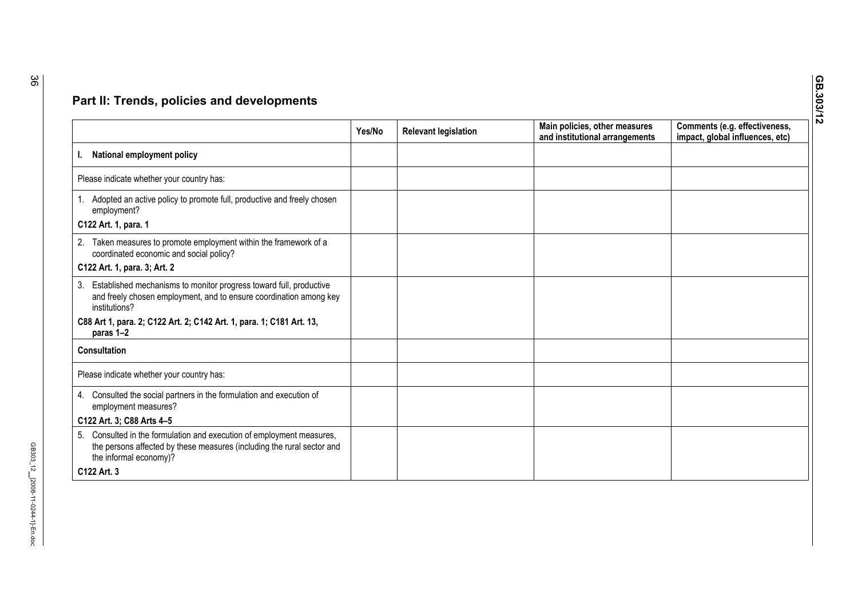| Yes/No | <b>Relevant legislation</b> | Main policies, other measures<br>and institutional arrangements | Comments (e.g. effectiveness,<br>impact, global influences, etc) |
|--------|-----------------------------|-----------------------------------------------------------------|------------------------------------------------------------------|
|        |                             |                                                                 |                                                                  |
|        |                             |                                                                 |                                                                  |
|        |                             |                                                                 |                                                                  |
|        |                             |                                                                 |                                                                  |
|        |                             |                                                                 |                                                                  |
|        |                             |                                                                 |                                                                  |
|        |                             |                                                                 |                                                                  |
|        |                             |                                                                 |                                                                  |
|        |                             |                                                                 |                                                                  |
|        |                             |                                                                 |                                                                  |
|        |                             |                                                                 |                                                                  |
|        |                             |                                                                 |                                                                  |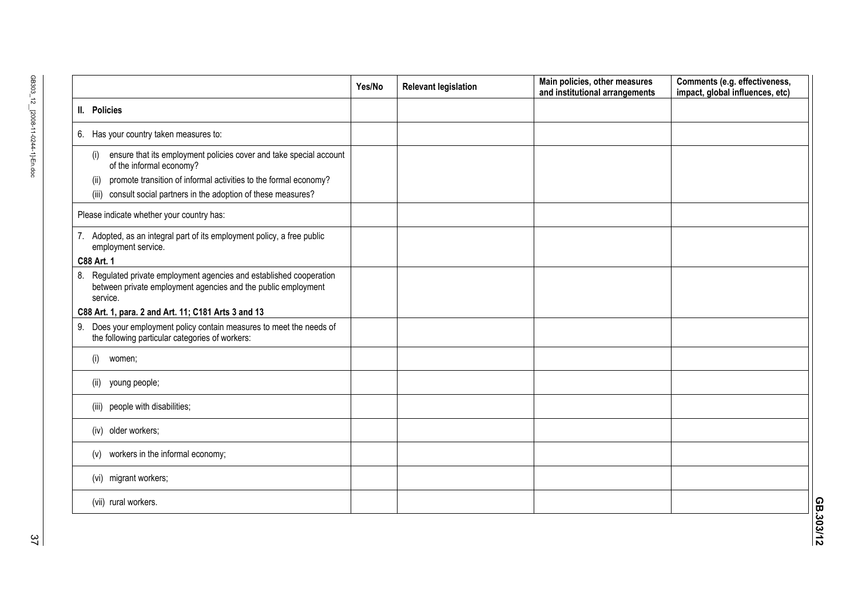|                                                                                                                                                                                                                                                          | Yes/No | <b>Relevant legislation</b> | Main policies, other measures<br>and institutional arrangements | Comments (e.g. effectiveness,<br>impact, global influences, etc) |
|----------------------------------------------------------------------------------------------------------------------------------------------------------------------------------------------------------------------------------------------------------|--------|-----------------------------|-----------------------------------------------------------------|------------------------------------------------------------------|
| II. Policies                                                                                                                                                                                                                                             |        |                             |                                                                 |                                                                  |
| 6. Has your country taken measures to:                                                                                                                                                                                                                   |        |                             |                                                                 |                                                                  |
| ensure that its employment policies cover and take special account<br>(i)<br>of the informal economy?<br>promote transition of informal activities to the formal economy?<br>(ii)<br>consult social partners in the adoption of these measures?<br>(iii) |        |                             |                                                                 |                                                                  |
| Please indicate whether your country has:                                                                                                                                                                                                                |        |                             |                                                                 |                                                                  |
| 7. Adopted, as an integral part of its employment policy, a free public<br>employment service.<br>C88 Art. 1                                                                                                                                             |        |                             |                                                                 |                                                                  |
| 8. Regulated private employment agencies and established cooperation<br>between private employment agencies and the public employment<br>service.<br>C88 Art. 1, para. 2 and Art. 11; C181 Arts 3 and 13                                                 |        |                             |                                                                 |                                                                  |
| 9. Does your employment policy contain measures to meet the needs of<br>the following particular categories of workers:                                                                                                                                  |        |                             |                                                                 |                                                                  |
| (i)<br>women;                                                                                                                                                                                                                                            |        |                             |                                                                 |                                                                  |
| young people;<br>(ii)                                                                                                                                                                                                                                    |        |                             |                                                                 |                                                                  |
| (iii) people with disabilities;                                                                                                                                                                                                                          |        |                             |                                                                 |                                                                  |
| (iv) older workers;                                                                                                                                                                                                                                      |        |                             |                                                                 |                                                                  |
| workers in the informal economy;<br>(v)                                                                                                                                                                                                                  |        |                             |                                                                 |                                                                  |
| (vi) migrant workers;                                                                                                                                                                                                                                    |        |                             |                                                                 |                                                                  |
| (vii) rural workers.                                                                                                                                                                                                                                     |        |                             |                                                                 |                                                                  |

**GB.303/12**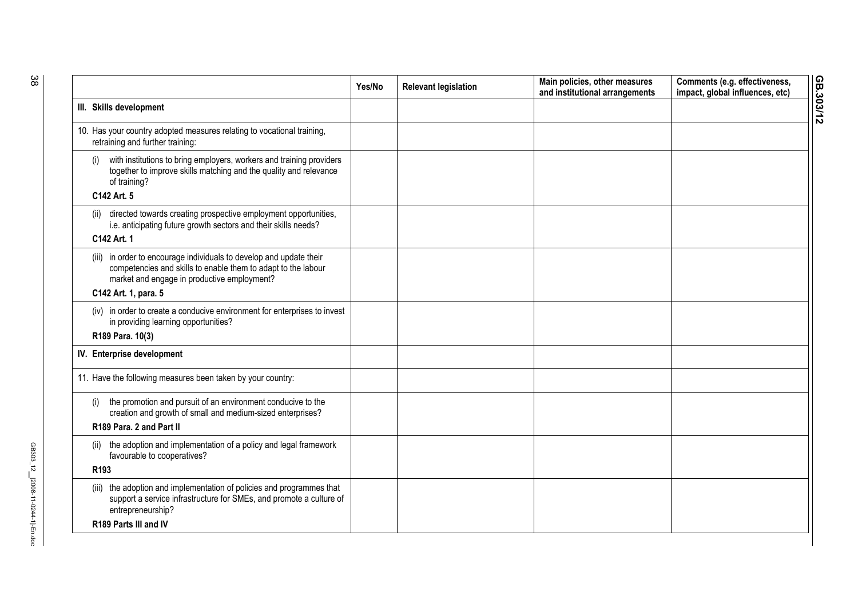|                                                                                                                                                                                                             | Yes/No | <b>Relevant legislation</b> | Main policies, other measures<br>and institutional arrangements | Comments (e.g. effectiveness,<br>impact, global influences, etc) |
|-------------------------------------------------------------------------------------------------------------------------------------------------------------------------------------------------------------|--------|-----------------------------|-----------------------------------------------------------------|------------------------------------------------------------------|
| III. Skills development                                                                                                                                                                                     |        |                             |                                                                 |                                                                  |
| 10. Has your country adopted measures relating to vocational training,<br>retraining and further training:                                                                                                  |        |                             |                                                                 |                                                                  |
| with institutions to bring employers, workers and training providers<br>(i)<br>together to improve skills matching and the quality and relevance<br>of training?<br>C142 Art. 5                             |        |                             |                                                                 |                                                                  |
|                                                                                                                                                                                                             |        |                             |                                                                 |                                                                  |
| directed towards creating prospective employment opportunities,<br>(ii)<br>i.e. anticipating future growth sectors and their skills needs?                                                                  |        |                             |                                                                 |                                                                  |
| C142 Art. 1                                                                                                                                                                                                 |        |                             |                                                                 |                                                                  |
| (iii) in order to encourage individuals to develop and update their<br>competencies and skills to enable them to adapt to the labour<br>market and engage in productive employment?<br>C142 Art. 1, para. 5 |        |                             |                                                                 |                                                                  |
| (iv) in order to create a conducive environment for enterprises to invest<br>in providing learning opportunities?                                                                                           |        |                             |                                                                 |                                                                  |
| R189 Para. 10(3)                                                                                                                                                                                            |        |                             |                                                                 |                                                                  |
| IV. Enterprise development                                                                                                                                                                                  |        |                             |                                                                 |                                                                  |
| 11. Have the following measures been taken by your country:                                                                                                                                                 |        |                             |                                                                 |                                                                  |
| the promotion and pursuit of an environment conducive to the<br>(i)<br>creation and growth of small and medium-sized enterprises?<br>R189 Para, 2 and Part II                                               |        |                             |                                                                 |                                                                  |
| the adoption and implementation of a policy and legal framework<br>(ii)<br>favourable to cooperatives?                                                                                                      |        |                             |                                                                 |                                                                  |
| R <sub>193</sub>                                                                                                                                                                                            |        |                             |                                                                 |                                                                  |
| (iii) the adoption and implementation of policies and programmes that<br>support a service infrastructure for SMEs, and promote a culture of<br>entrepreneurship?                                           |        |                             |                                                                 |                                                                  |
| R189 Parts III and IV                                                                                                                                                                                       |        |                             |                                                                 |                                                                  |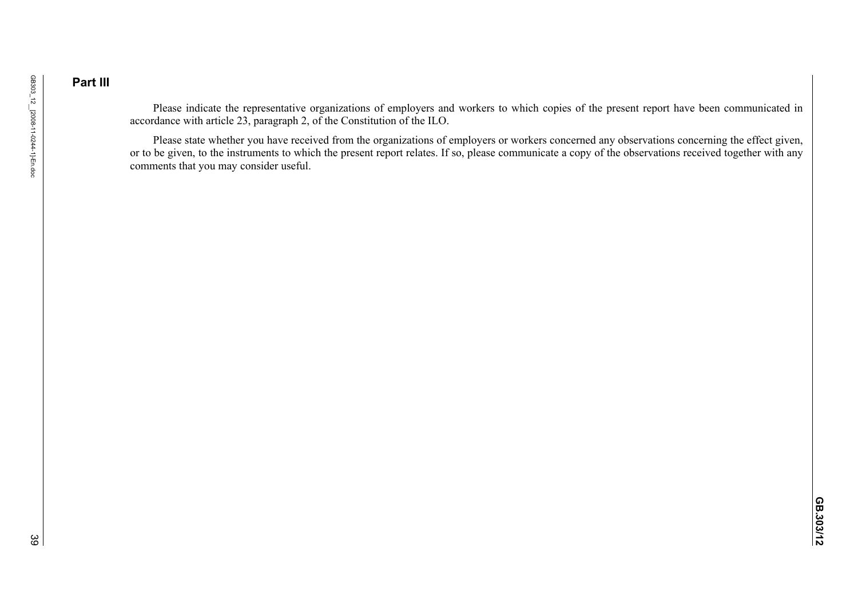## **Part III**

Please indicate the representative organizations of employers and workers to which copies of the present report have been communicated in accordance with article 23, paragraph 2, of the Constitution of the ILO.

Please state whether you have received from the organizations of employers or workers concerned any observations concerning the effect given, or to be given, to the instruments to which the present report relates. If so, please communicate a copy of the observations received together with any comments that you may consider useful.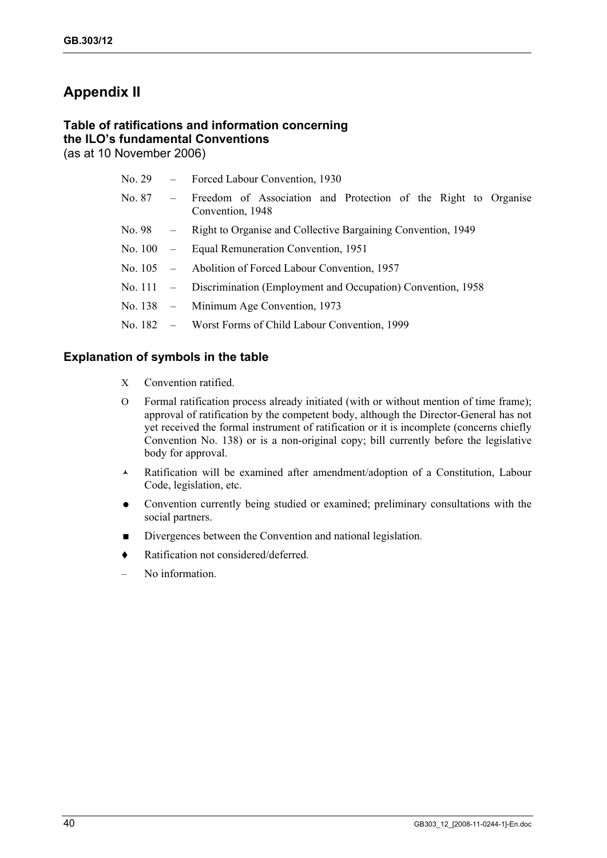# **Appendix II**

#### **Table of ratifications and information concerning the ILO's fundamental Conventions**  (as at 10 November 2006)

|  | No. 29 - Forced Labour Convention, 1930                                                     |  |  |  |  |  |  |  |
|--|---------------------------------------------------------------------------------------------|--|--|--|--|--|--|--|
|  | No. 87 – Freedom of Association and Protection of the Right to Organise<br>Convention, 1948 |  |  |  |  |  |  |  |
|  | No. 98 – Right to Organise and Collective Bargaining Convention, 1949                       |  |  |  |  |  |  |  |
|  | No. 100 – Equal Remuneration Convention, 1951                                               |  |  |  |  |  |  |  |
|  | No. 105 – Abolition of Forced Labour Convention, 1957                                       |  |  |  |  |  |  |  |
|  | No. 111 – Discrimination (Employment and Occupation) Convention, 1958                       |  |  |  |  |  |  |  |
|  | No. 138 $-$ Minimum Age Convention, 1973                                                    |  |  |  |  |  |  |  |
|  | No. 182 – Worst Forms of Child Labour Convention, 1999                                      |  |  |  |  |  |  |  |
|  |                                                                                             |  |  |  |  |  |  |  |

### **Explanation of symbols in the table**

- X Convention ratified.
- O Formal ratification process already initiated (with or without mention of time frame); approval of ratification by the competent body, although the Director-General has not yet received the formal instrument of ratification or it is incomplete (concerns chiefly Convention No. 138) or is a non-original copy; bill currently before the legislative body for approval.
- Ratification will be examined after amendment/adoption of a Constitution, Labour Code, legislation, etc.
- Convention currently being studied or examined; preliminary consultations with the social partners.
- Divergences between the Convention and national legislation.
- ◆ Ratification not considered/deferred.
- No information.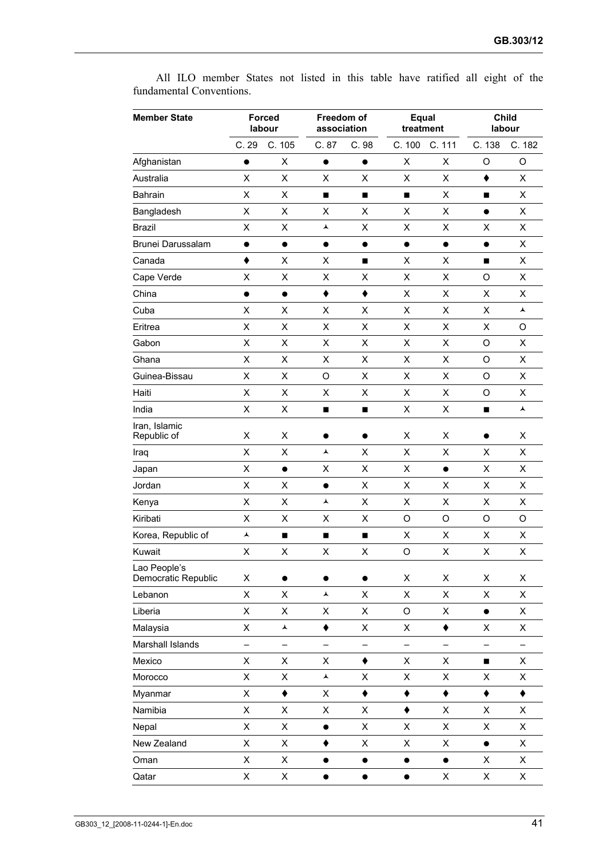**Member State Forced labour Freedom of association Equal treatment Child labour**  C. 29 C. 105 C. 87 C. 98 C. 100 C. 111 C. 138 C. 182 Afghanistan • X • • X × O O Australia X X X X X X X Bahrain X X X X Bangladesh  $X$  X X X X X  $\bullet$  X Brazil X X X X X X X Brunei Darussalam **X and Array Community Community Community Community Community Community Community Community Community Community Community Community Community Community Community Community Community Community Community** Canada  $\qquad \qquad \blacklozenge$   $\qquad \qquad \times$   $\qquad \blacksquare$   $\qquad \qquad \times$   $\qquad \blacksquare$   $\qquad \times$ Cape Verde X X X X X X O X China  $\bullet\hspace{10pt}\bullet\hspace{10pt}\bullet\hspace{10pt}\bullet\hspace{10pt}\bullet\hspace{10pt}\star\hspace{10pt}\times\hspace{10pt}\times\hspace{10pt}\times\hspace{10pt}\times\hspace{10pt}\times\hspace{10pt}\times\hspace{10pt}$ Cuba  $X$   $X$   $X$   $X$   $X$   $X$   $X$   $X$ Eritrea X X X X X X X O Gabon X X X X X X O X Ghana X X X X X X O X Guinea-Bissau X X O X X X O X Haiti X X X X X X O X India  $X$   $X$   $\blacksquare$   $X$   $X$   $\blacksquare$   $\blacktriangle$ Iran, Islamic Republic of  $X$  X  $X$   $\bullet$   $X$  X  $X$   $\bullet$  X Iraq X X X X X X X Japan X XX X X X Jordan X X X X X X X Kenya X X X X X X X Kiribati X X X X O O O O Korea, Republic of  $\overline{A}$  **N N N X** X X X X X Kuwait X X X X O X X X Lao People's Democratic Republic X ● ● ● X X X X Lebanon X X X X X X X Liberia X X X X O X X Malaysia X X X X X Marshall Islands – – – – – – – – Mexico  $X$   $X$   $X$   $\rightarrow$   $X$   $X$   $\rightarrow$   $X$ Morocco X X X X X X X Myanmar X X Namibia X X X X X X X Nepal X X X X X X X New Zealand X X ◆ X X × ● X Oman  $X$   $X$   $\bullet$   $\bullet$   $\bullet$   $\bullet$   $X$   $X$ Qatar X X X X X

All ILO member States not listed in this table have ratified all eight of the fundamental Conventions.